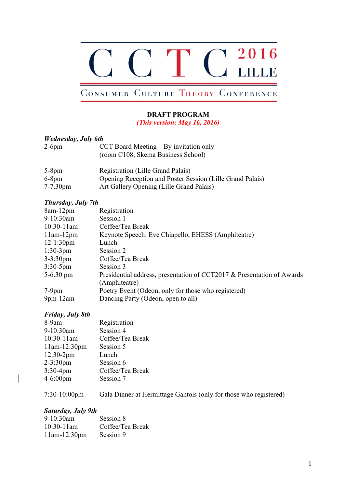

# CONSUMER CULTURE THEORY CONFERENCE

# **DRAFT PROGRAM**

*(This version: May 16, 2016)*

# *Wednesday, July 6th*

| $2-6$ pm | CCT Board Meeting $-$ By invitation only |
|----------|------------------------------------------|
|          | (room C108, Skema Business School)       |

| $5-8$ pm      | Registration (Lille Grand Palais)                         |
|---------------|-----------------------------------------------------------|
| $6-8$ pm      | Opening Reception and Poster Session (Lille Grand Palais) |
| $7 - 7.30$ pm | Art Gallery Opening (Lille Grand Palais)                  |

# *Thursday, July 7th*

| $8am-12pm$      | Registration                                                           |
|-----------------|------------------------------------------------------------------------|
| $9-10:30$ am    | Session 1                                                              |
| $10:30-11$ am   | Coffee/Tea Break                                                       |
| $11am-12pm$     | Keynote Speech: Eve Chiapello, EHESS (Amphiteatre)                     |
| $12-1:30$ pm    | Lunch                                                                  |
| $1:30-3pm$      | Session 2                                                              |
| $3 - 3:30$ pm   | Coffee/Tea Break                                                       |
| $3:30-5$ pm     | Session 3                                                              |
| $5-6.30$ pm     | Presidential address, presentation of CCT2017 & Presentation of Awards |
|                 | (Amphiteatre)                                                          |
| $7-9$ pm        | Poetry Event (Odeon, only for those who registered)                    |
| $9$ pm- $12$ am | Dancing Party (Odeon, open to all)                                     |

# *Friday, July 8th*

| 8-9am                | Registration     |
|----------------------|------------------|
| 9-10:30am            | Session 4        |
| $10:30-11$ am        | Coffee/Tea Break |
| $11am-12:30pm$       | Session 5        |
| $12:30-2pm$          | Lunch            |
| $2 - 3:30$ pm        | Session 6        |
| $3:30-4pm$           | Coffee/Tea Break |
| $4 - 6:00 \text{pm}$ | Session 7        |
|                      |                  |

7:30-10:00pm Gala Dinner at Hermittage Gantois (only for those who registered)

# *Saturday, July 9th*

| 9-10:30am      | Session 8        |
|----------------|------------------|
| $10:30-11$ am  | Coffee/Tea Break |
| $11am-12:30pm$ | Session 9        |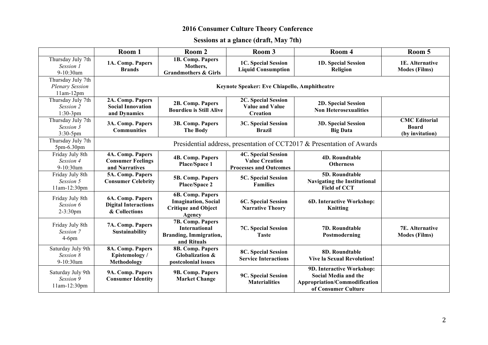# **2016 Consumer Culture Theory Conference**

# **Sessions at a glance (draft, May 7th)**

|                                                            | Room 1                                                           | Room 2                                                                                   | Room 3                                                                               | Room 4                                                                                                    | Room 5                                                  |  |  |
|------------------------------------------------------------|------------------------------------------------------------------|------------------------------------------------------------------------------------------|--------------------------------------------------------------------------------------|-----------------------------------------------------------------------------------------------------------|---------------------------------------------------------|--|--|
| Thursday July 7th<br>Session 1<br>9-10:30am                | 1A. Comp. Papers<br><b>Brands</b>                                | 1B. Comp. Papers<br>Mothers,<br><b>Grandmothers &amp; Girls</b>                          | 1C. Special Session<br><b>Liquid Consumption</b>                                     | 1D. Special Session<br>Religion                                                                           | 1E. Alternative<br><b>Modes (Films)</b>                 |  |  |
| Thursday July 7th<br><b>Plenary Session</b><br>$11am-12pm$ | Keynote Speaker: Eve Chiapello, Amphitheatre                     |                                                                                          |                                                                                      |                                                                                                           |                                                         |  |  |
| Thursday July 7th<br>Session 2<br>$1:30-3pm$               | 2A. Comp. Papers<br><b>Social Innovation</b><br>and Dynamics     | 2B. Comp. Papers<br><b>Bourdieu is Still Alive</b>                                       | 2C. Special Session<br><b>Value and Value</b><br><b>Creation</b>                     | 2D. Special Session<br><b>Non Heterosexualities</b>                                                       |                                                         |  |  |
| Thursday July 7th<br>Session 3<br>3:30-5pm                 | 3A. Comp. Papers<br><b>Communities</b>                           | 3B. Comp. Papers<br><b>The Body</b>                                                      | 3C. Special Session<br><b>Brazil</b>                                                 | <b>3D. Special Session</b><br><b>Big Data</b>                                                             | <b>CMC</b> Editorial<br><b>Board</b><br>(by invitation) |  |  |
| Thursday July 7th<br>5pm-6.30pm                            |                                                                  | Presidential address, presentation of CCT2017 & Presentation of Awards                   |                                                                                      |                                                                                                           |                                                         |  |  |
| Friday July 8th<br>Session 4<br>9-10:30am                  | 4A. Comp. Papers<br><b>Consumer Feelings</b><br>and Narratives   | <b>4B. Comp. Papers</b><br>Place/Space 1                                                 | <b>4C. Special Session</b><br><b>Value Creation</b><br><b>Processes and Outcomes</b> | <b>4D. Roundtable</b><br><b>Otherness</b>                                                                 |                                                         |  |  |
| Friday July 8th<br>Session 5<br>11am-12:30pm               | 5A. Comp. Papers<br><b>Consumer Celebrity</b>                    | 5B. Comp. Papers<br>Place/Space 2                                                        | 5C. Special Session<br><b>Families</b>                                               | 5D. Roundtable<br><b>Navigating the Institutional</b><br><b>Field of CCT</b>                              |                                                         |  |  |
| Friday July 8th<br>Session 6<br>$2 - 3:30$ pm              | 6A. Comp. Papers<br><b>Digital Interactions</b><br>& Collections | 6B. Comp. Papers<br><b>Imagination</b> , Social<br><b>Critique and Object</b><br>Agency  | 6C. Special Session<br><b>Narrative Theory</b>                                       | 6D. Interactive Workshop:<br><b>Knitting</b>                                                              |                                                         |  |  |
| Friday July 8th<br>Session 7<br>$4-6$ pm                   | 7A. Comp. Papers<br>Sustainability                               | 7B. Comp. Papers<br><b>International</b><br><b>Branding, Immigration,</b><br>and Rituals | 7C. Special Session<br><b>Taste</b>                                                  | 7D. Roundtable<br>Postmoderning                                                                           | 7E. Alternative<br><b>Modes (Films)</b>                 |  |  |
| Saturday July 9th<br>Session 8<br>9-10:30am                | 8A. Comp. Papers<br>Epistemology/<br>Methodology                 | 8B. Comp. Papers<br>Globalization &<br>postcolonial issues                               | <b>8C. Special Session</b><br><b>Service Interactions</b>                            | 8D. Roundtable<br><b>Vive la Sexual Revolution!</b>                                                       |                                                         |  |  |
| Saturday July 9th<br>Session 9<br>11am-12:30pm             | 9A. Comp. Papers<br><b>Consumer Identity</b>                     | 9B. Comp. Papers<br><b>Market Change</b>                                                 | 9C. Special Session<br><b>Materialities</b>                                          | 9D. Interactive Workshop:<br>Social Media and the<br>Appropriation/Commodification<br>of Consumer Culture |                                                         |  |  |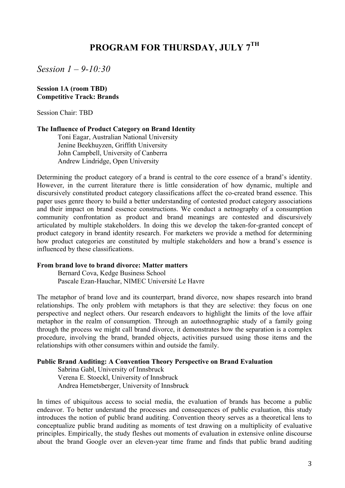# **PROGRAM FOR THURSDAY, JULY 7TH**

*Session 1 – 9-10:30*

#### **Session 1A (room TBD) Competitive Track: Brands**

Session Chair: TBD

### **The Influence of Product Category on Brand Identity**

Toni Eagar, Australian National University Jenine Beekhuyzen, Griffith University John Campbell, University of Canberra Andrew Lindridge, Open University

Determining the product category of a brand is central to the core essence of a brand's identity. However, in the current literature there is little consideration of how dynamic, multiple and discursively constituted product category classifications affect the co-created brand essence. This paper uses genre theory to build a better understanding of contested product category associations and their impact on brand essence constructions. We conduct a netnography of a consumption community confrontation as product and brand meanings are contested and discursively articulated by multiple stakeholders. In doing this we develop the taken-for-granted concept of product category in brand identity research. For marketers we provide a method for determining how product categories are constituted by multiple stakeholders and how a brand's essence is influenced by these classifications.

#### **From brand love to brand divorce: Matter matters**

Bernard Cova, Kedge Business School Pascale Ezan-Hauchar, NIMEC Université Le Havre

The metaphor of brand love and its counterpart, brand divorce, now shapes research into brand relationships. The only problem with metaphors is that they are selective: they focus on one perspective and neglect others. Our research endeavors to highlight the limits of the love affair metaphor in the realm of consumption. Through an autoethnographic study of a family going through the process we might call brand divorce, it demonstrates how the separation is a complex procedure, involving the brand, branded objects, activities pursued using those items and the relationships with other consumers within and outside the family.

### **Public Brand Auditing: A Convention Theory Perspective on Brand Evaluation**

Sabrina Gabl, University of Innsbruck Verena E. Stoeckl, University of Innsbruck Andrea Hemetsberger, University of Innsbruck

In times of ubiquitous access to social media, the evaluation of brands has become a public endeavor. To better understand the processes and consequences of public evaluation, this study introduces the notion of public brand auditing. Convention theory serves as a theoretical lens to conceptualize public brand auditing as moments of test drawing on a multiplicity of evaluative principles. Empirically, the study fleshes out moments of evaluation in extensive online discourse about the brand Google over an eleven-year time frame and finds that public brand auditing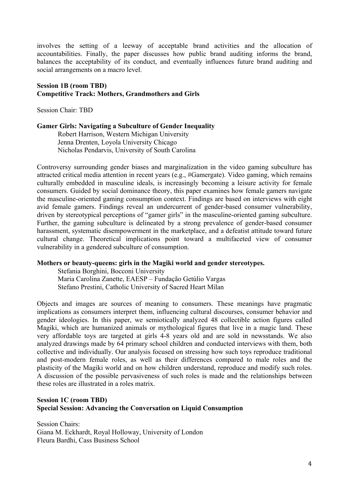involves the setting of a leeway of acceptable brand activities and the allocation of accountabilities. Finally, the paper discusses how public brand auditing informs the brand, balances the acceptability of its conduct, and eventually influences future brand auditing and social arrangements on a macro level.

### **Session 1B (room TBD) Competitive Track: Mothers, Grandmothers and Girls**

Session Chair: TBD

# **Gamer Girls: Navigating a Subculture of Gender Inequality**

Robert Harrison, Western Michigan University Jenna Drenten, Loyola University Chicago Nicholas Pendarvis, University of South Carolina

Controversy surrounding gender biases and marginalization in the video gaming subculture has attracted critical media attention in recent years (e.g., #Gamergate). Video gaming, which remains culturally embedded in masculine ideals, is increasingly becoming a leisure activity for female consumers. Guided by social dominance theory, this paper examines how female gamers navigate the masculine-oriented gaming consumption context. Findings are based on interviews with eight avid female gamers. Findings reveal an undercurrent of gender-based consumer vulnerability, driven by stereotypical perceptions of "gamer girls" in the masculine-oriented gaming subculture. Further, the gaming subculture is delineated by a strong prevalence of gender-based consumer harassment, systematic disempowerment in the marketplace, and a defeatist attitude toward future cultural change. Theoretical implications point toward a multifaceted view of consumer vulnerability in a gendered subculture of consumption.

# **Mothers or beauty-queens: girls in the Magiki world and gender stereotypes.**

Stefania Borghini, Bocconi University Maria Carolina Zanette, EAESP – Fundação Getúlio Vargas Stefano Prestini, Catholic University of Sacred Heart Milan

Objects and images are sources of meaning to consumers. These meanings have pragmatic implications as consumers interpret them, influencing cultural discourses, consumer behavior and gender ideologies. In this paper, we semiotically analyzed 48 collectible action figures called Magiki, which are humanized animals or mythological figures that live in a magic land. These very affordable toys are targeted at girls 4-8 years old and are sold in newsstands. We also analyzed drawings made by 64 primary school children and conducted interviews with them, both collective and individually. Our analysis focused on stressing how such toys reproduce traditional and post-modern female roles, as well as their differences compared to male roles and the plasticity of the Magiki world and on how children understand, reproduce and modify such roles. A discussion of the possible pervasiveness of such roles is made and the relationships between these roles are illustrated in a roles matrix.

# **Session 1C (room TBD) Special Session: Advancing the Conversation on Liquid Consumption**

Session Chairs: Giana M. Eckhardt, Royal Holloway, University of London Fleura Bardhi, Cass Business School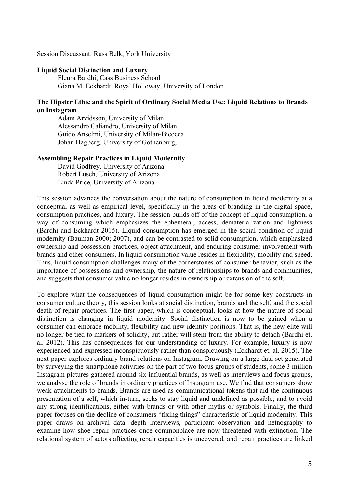Session Discussant: Russ Belk, York University

### **Liquid Social Distinction and Luxury**

Fleura Bardhi, Cass Business School Giana M. Eckhardt, Royal Holloway, University of London

# **The Hipster Ethic and the Spirit of Ordinary Social Media Use: Liquid Relations to Brands on Instagram**

Adam Arvidsson, University of Milan Alessandro Caliandro, University of Milan Guido Anselmi, University of Milan-Bicocca Johan Hagberg, University of Gothenburg,

### **Assembling Repair Practices in Liquid Modernity**

David Godfrey, University of Arizona Robert Lusch, University of Arizona Linda Price, University of Arizona

This session advances the conversation about the nature of consumption in liquid modernity at a conceptual as well as empirical level, specifically in the areas of branding in the digital space, consumption practices, and luxury. The session builds off of the concept of liquid consumption, a way of consuming which emphasizes the ephemeral, access, dematerialization and lightness (Bardhi and Eckhardt 2015). Liquid consumption has emerged in the social condition of liquid modernity (Bauman 2000; 2007), and can be contrasted to solid consumption, which emphasized ownership and possession practices, object attachment, and enduring consumer involvement with brands and other consumers. In liquid consumption value resides in flexibility, mobility and speed. Thus, liquid consumption challenges many of the cornerstones of consumer behavior, such as the importance of possessions and ownership, the nature of relationships to brands and communities, and suggests that consumer value no longer resides in ownership or extension of the self.

To explore what the consequences of liquid consumption might be for some key constructs in consumer culture theory, this session looks at social distinction, brands and the self, and the social death of repair practices. The first paper, which is conceptual, looks at how the nature of social distinction is changing in liquid modernity. Social distinction is now to be gained when a consumer can embrace mobility, flexibility and new identity positions. That is, the new elite will no longer be tied to markers of solidity, but rather will stem from the ability to detach (Bardhi et. al. 2012). This has consequences for our understanding of luxury. For example, luxury is now experienced and expressed inconspicuously rather than conspicuously (Eckhardt et. al. 2015). The next paper explores ordinary brand relations on Instagram. Drawing on a large data set generated by surveying the smartphone activities on the part of two focus groups of students, some 3 million Instagram pictures gathered around six influential brands, as well as interviews and focus groups, we analyse the role of brands in ordinary practices of Instagram use. We find that consumers show weak attachments to brands. Brands are used as communicational tokens that aid the continuous presentation of a self, which in-turn, seeks to stay liquid and undefined as possible, and to avoid any strong identifications, either with brands or with other myths or symbols. Finally, the third paper focuses on the decline of consumers "fixing things" characteristic of liquid modernity. This paper draws on archival data, depth interviews, participant observation and netnography to examine how shoe repair practices once commonplace are now threatened with extinction. The relational system of actors affecting repair capacities is uncovered, and repair practices are linked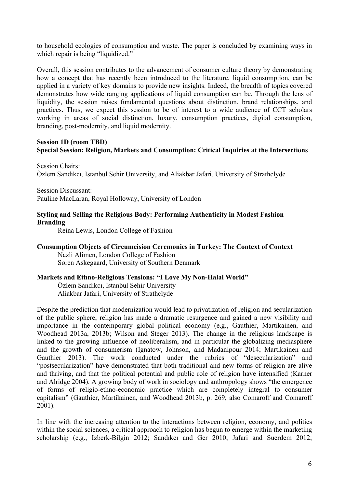to household ecologies of consumption and waste. The paper is concluded by examining ways in which repair is being "liquidized."

Overall, this session contributes to the advancement of consumer culture theory by demonstrating how a concept that has recently been introduced to the literature, liquid consumption, can be applied in a variety of key domains to provide new insights. Indeed, the breadth of topics covered demonstrates how wide ranging applications of liquid consumption can be. Through the lens of liquidity, the session raises fundamental questions about distinction, brand relationships, and practices. Thus, we expect this session to be of interest to a wide audience of CCT scholars working in areas of social distinction, luxury, consumption practices, digital consumption, branding, post-modernity, and liquid modernity.

# **Session 1D (room TBD) Special Session: Religion, Markets and Consumption: Critical Inquiries at the Intersections**

Session Chairs: Özlem Sandıkcı, Istanbul Sehir University, and Aliakbar Jafari, University of Strathclyde

Session Discussant: Pauline MacLaran, Royal Holloway, University of London

# **Styling and Selling the Religious Body: Performing Authenticity in Modest Fashion Branding**

Reina Lewis, London College of Fashion

# **Consumption Objects of Circumcision Ceremonies in Turkey: The Context of Context**

Nazli Alimen, London College of Fashion Søren Askegaard, University of Southern Denmark

# **Markets and Ethno-Religious Tensions: "I Love My Non-Halal World"**

Özlem Sandıkcı, Istanbul Sehir University Aliakbar Jafari, University of Strathclyde

Despite the prediction that modernization would lead to privatization of religion and secularization of the public sphere, religion has made a dramatic resurgence and gained a new visibility and importance in the contemporary global political economy (e.g., Gauthier, Martikainen, and Woodhead 2013a, 2013b; Wilson and Steger 2013). The change in the religious landscape is linked to the growing influence of neoliberalism, and in particular the globalizing mediasphere and the growth of consumerism (Ignatow, Johnson, and Madanipour 2014; Martikainen and Gauthier 2013). The work conducted under the rubrics of "desecularization" and "postsecularization" have demonstrated that both traditional and new forms of religion are alive and thriving, and that the political potential and public role of religion have intensified (Karner and Alridge 2004). A growing body of work in sociology and anthropology shows "the emergence of forms of religio-ethno-economic practice which are completely integral to consumer capitalism" (Gauthier, Martikainen, and Woodhead 2013b, p. 269; also Comaroff and Comaroff 2001).

In line with the increasing attention to the interactions between religion, economy, and politics within the social sciences, a critical approach to religion has begun to emerge within the marketing scholarship (e.g., Izberk-Bilgin 2012; Sandıkcı and Ger 2010; Jafari and Suerdem 2012;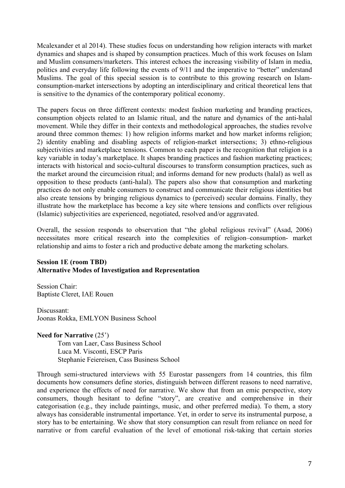Mcalexander et al 2014). These studies focus on understanding how religion interacts with market dynamics and shapes and is shaped by consumption practices. Much of this work focuses on Islam and Muslim consumers/marketers. This interest echoes the increasing visibility of Islam in media, politics and everyday life following the events of 9/11 and the imperative to "better" understand Muslims. The goal of this special session is to contribute to this growing research on Islamconsumption-market intersections by adopting an interdisciplinary and critical theoretical lens that is sensitive to the dynamics of the contemporary political economy.

The papers focus on three different contexts: modest fashion marketing and branding practices, consumption objects related to an Islamic ritual, and the nature and dynamics of the anti-halal movement. While they differ in their contexts and methodological approaches, the studies revolve around three common themes: 1) how religion informs market and how market informs religion; 2) identity enabling and disabling aspects of religion-market intersections; 3) ethno-religious subjectivities and marketplace tensions. Common to each paper is the recognition that religion is a key variable in today's marketplace. It shapes branding practices and fashion marketing practices; interacts with historical and socio-cultural discourses to transform consumption practices, such as the market around the circumcision ritual; and informs demand for new products (halal) as well as opposition to these products (anti-halal). The papers also show that consumption and marketing practices do not only enable consumers to construct and communicate their religious identities but also create tensions by bringing religious dynamics to (perceived) secular domains. Finally, they illustrate how the marketplace has become a key site where tensions and conflicts over religious (Islamic) subjectivities are experienced, negotiated, resolved and/or aggravated.

Overall, the session responds to observation that "the global religious revival" (Asad, 2006) necessitates more critical research into the complexities of religion–consumption- market relationship and aims to foster a rich and productive debate among the marketing scholars.

# **Session 1E (room TBD) Alternative Modes of Investigation and Representation**

Session Chair: Baptiste Cleret, IAE Rouen

Discussant: Joonas Rokka, EMLYON Business School

**Need for Narrative** (25') Tom van Laer, Cass Business School Luca M. Visconti, ESCP Paris Stephanie Feiereisen, Cass Business School

Through semi-structured interviews with 55 Eurostar passengers from 14 countries, this film documents how consumers define stories, distinguish between different reasons to need narrative, and experience the effects of need for narrative. We show that from an emic perspective, story consumers, though hesitant to define "story", are creative and comprehensive in their categorisation (e.g., they include paintings, music, and other preferred media). To them, a story always has considerable instrumental importance. Yet, in order to serve its instrumental purpose, a story has to be entertaining. We show that story consumption can result from reliance on need for narrative or from careful evaluation of the level of emotional risk-taking that certain stories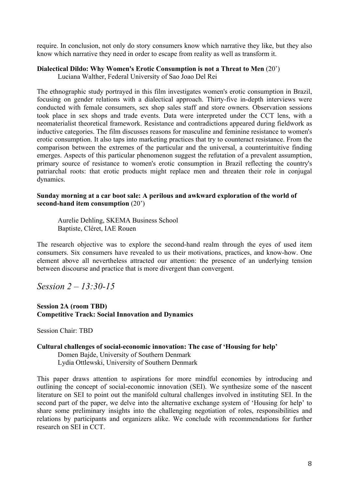require. In conclusion, not only do story consumers know which narrative they like, but they also know which narrative they need in order to escape from reality as well as transform it.

### **Dialectical Dildo: Why Women's Erotic Consumption is not a Threat to Men** (20')

Luciana Walther, Federal University of Sao Joao Del Rei

The ethnographic study portrayed in this film investigates women's erotic consumption in Brazil, focusing on gender relations with a dialectical approach. Thirty-five in-depth interviews were conducted with female consumers, sex shop sales staff and store owners. Observation sessions took place in sex shops and trade events. Data were interpreted under the CCT lens, with a neomaterialist theoretical framework. Resistance and contradictions appeared during fieldwork as inductive categories. The film discusses reasons for masculine and feminine resistance to women's erotic consumption. It also taps into marketing practices that try to counteract resistance. From the comparison between the extremes of the particular and the universal, a counterintuitive finding emerges. Aspects of this particular phenomenon suggest the refutation of a prevalent assumption, primary source of resistance to women's erotic consumption in Brazil reflecting the country's patriarchal roots: that erotic products might replace men and threaten their role in conjugal dynamics.

### **Sunday morning at a car boot sale: A perilous and awkward exploration of the world of second-hand item consumption** (20')

Aurelie Dehling, SKEMA Business School Baptiste, Cléret, IAE Rouen

The research objective was to explore the second-hand realm through the eyes of used item consumers. Six consumers have revealed to us their motivations, practices, and know-how. One element above all nevertheless attracted our attention: the presence of an underlying tension between discourse and practice that is more divergent than convergent.

*Session 2 – 13:30-15*

# **Session 2A (room TBD) Competitive Track: Social Innovation and Dynamics**

Session Chair: TBD

### **Cultural challenges of social-economic innovation: The case of 'Housing for help'**

Domen Bajde, University of Southern Denmark Lydia Ottlewski, University of Southern Denmark

This paper draws attention to aspirations for more mindful economies by introducing and outlining the concept of social-economic innovation (SEI). We synthesize some of the nascent literature on SEI to point out the manifold cultural challenges involved in instituting SEI. In the second part of the paper, we delve into the alternative exchange system of 'Housing for help' to share some preliminary insights into the challenging negotiation of roles, responsibilities and relations by participants and organizers alike. We conclude with recommendations for further research on SEI in CCT.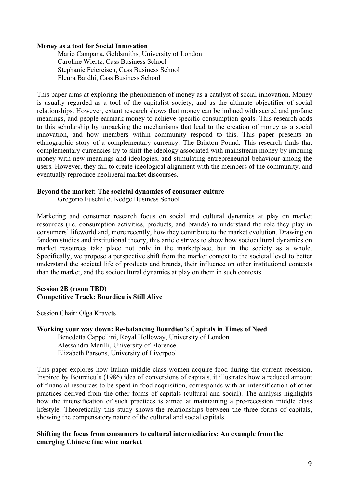#### **Money as a tool for Social Innovation**

Mario Campana, Goldsmiths, University of London Caroline Wiertz, Cass Business School Stephanie Feiereisen, Cass Business School Fleura Bardhi, Cass Business School

This paper aims at exploring the phenomenon of money as a catalyst of social innovation. Money is usually regarded as a tool of the capitalist society, and as the ultimate objectifier of social relationships. However, extant research shows that money can be imbued with sacred and profane meanings, and people earmark money to achieve specific consumption goals. This research adds to this scholarship by unpacking the mechanisms that lead to the creation of money as a social innovation, and how members within community respond to this. This paper presents an ethnographic story of a complementary currency: The Brixton Pound. This research finds that complementary currencies try to shift the ideology associated with mainstream money by imbuing money with new meanings and ideologies, and stimulating entrepreneurial behaviour among the users. However, they fail to create ideological alignment with the members of the community, and eventually reproduce neoliberal market discourses.

### **Beyond the market: The societal dynamics of consumer culture**

Gregorio Fuschillo, Kedge Business School

Marketing and consumer research focus on social and cultural dynamics at play on market resources (i.e. consumption activities, products, and brands) to understand the role they play in consumers' lifeworld and, more recently, how they contribute to the market evolution. Drawing on fandom studies and institutional theory, this article strives to show how sociocultural dynamics on market resources take place not only in the marketplace, but in the society as a whole. Specifically, we propose a perspective shift from the market context to the societal level to better understand the societal life of products and brands, their influence on other institutional contexts than the market, and the sociocultural dynamics at play on them in such contexts.

# **Session 2B (room TBD) Competitive Track: Bourdieu is Still Alive**

Session Chair: Olga Kravets

# **Working your way down: Re-balancing Bourdieu's Capitals in Times of Need**

Benedetta Cappellini, Royal Holloway, University of London Alessandra Marilli, University of Florence Elizabeth Parsons, University of Liverpool

This paper explores how Italian middle class women acquire food during the current recession. Inspired by Bourdieu's (1986) idea of conversions of capitals, it illustrates how a reduced amount of financial resources to be spent in food acquisition, corresponds with an intensification of other practices derived from the other forms of capitals (cultural and social). The analysis highlights how the intensification of such practices is aimed at maintaining a pre-recession middle class lifestyle. Theoretically this study shows the relationships between the three forms of capitals, showing the compensatory nature of the cultural and social capitals.

# **Shifting the focus from consumers to cultural intermediaries: An example from the emerging Chinese fine wine market**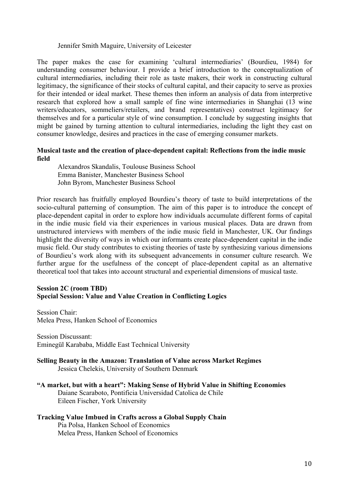### Jennifer Smith Maguire, University of Leicester

The paper makes the case for examining 'cultural intermediaries' (Bourdieu, 1984) for understanding consumer behaviour. I provide a brief introduction to the conceptualization of cultural intermediaries, including their role as taste makers, their work in constructing cultural legitimacy, the significance of their stocks of cultural capital, and their capacity to serve as proxies for their intended or ideal market. These themes then inform an analysis of data from interpretive research that explored how a small sample of fine wine intermediaries in Shanghai (13 wine writers/educators, sommeliers/retailers, and brand representatives) construct legitimacy for themselves and for a particular style of wine consumption. I conclude by suggesting insights that might be gained by turning attention to cultural intermediaries, including the light they cast on consumer knowledge, desires and practices in the case of emerging consumer markets.

### **Musical taste and the creation of place-dependent capital: Reflections from the indie music field**

Alexandros Skandalis, Toulouse Business School Emma Banister, Manchester Business School John Byrom, Manchester Business School

Prior research has fruitfully employed Bourdieu's theory of taste to build interpretations of the socio-cultural patterning of consumption. The aim of this paper is to introduce the concept of place-dependent capital in order to explore how individuals accumulate different forms of capital in the indie music field via their experiences in various musical places. Data are drawn from unstructured interviews with members of the indie music field in Manchester, UK. Our findings highlight the diversity of ways in which our informants create place-dependent capital in the indie music field. Our study contributes to existing theories of taste by synthesizing various dimensions of Bourdieu's work along with its subsequent advancements in consumer culture research. We further argue for the usefulness of the concept of place-dependent capital as an alternative theoretical tool that takes into account structural and experiential dimensions of musical taste.

### **Session 2C (room TBD) Special Session: Value and Value Creation in Conflicting Logics**

Session Chair: Melea Press, Hanken School of Economics

Session Discussant: Eminegül Karababa, Middle East Technical University

# **Selling Beauty in the Amazon: Translation of Value across Market Regimes**  Jessica Chelekis, University of Southern Denmark

**"A market, but with a heart": Making Sense of Hybrid Value in Shifting Economies**  Daiane Scaraboto, Pontificia Universidad Catolica de Chile Eileen Fischer, York University

# **Tracking Value Imbued in Crafts across a Global Supply Chain**

Pia Polsa, Hanken School of Economics Melea Press, Hanken School of Economics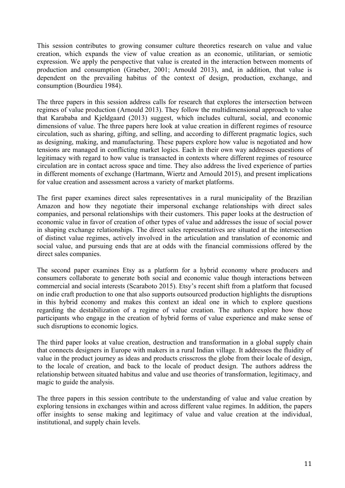This session contributes to growing consumer culture theoretics research on value and value creation, which expands the view of value creation as an economic, utilitarian, or semiotic expression. We apply the perspective that value is created in the interaction between moments of production and consumption (Graeber, 2001; Arnould 2013), and, in addition, that value is dependent on the prevailing habitus of the context of design, production, exchange, and consumption (Bourdieu 1984).

The three papers in this session address calls for research that explores the intersection between regimes of value production (Arnould 2013). They follow the multidimensional approach to value that Karababa and Kjeldgaard (2013) suggest, which includes cultural, social, and economic dimensions of value. The three papers here look at value creation in different regimes of resource circulation, such as sharing, gifting, and selling, and according to different pragmatic logics, such as designing, making, and manufacturing. These papers explore how value is negotiated and how tensions are managed in conflicting market logics. Each in their own way addresses questions of legitimacy with regard to how value is transacted in contexts where different regimes of resource circulation are in contact across space and time. They also address the lived experience of parties in different moments of exchange (Hartmann, Wiertz and Arnould 2015), and present implications for value creation and assessment across a variety of market platforms.

The first paper examines direct sales representatives in a rural municipality of the Brazilian Amazon and how they negotiate their impersonal exchange relationships with direct sales companies, and personal relationships with their customers. This paper looks at the destruction of economic value in favor of creation of other types of value and addresses the issue of social power in shaping exchange relationships. The direct sales representatives are situated at the intersection of distinct value regimes, actively involved in the articulation and translation of economic and social value, and pursuing ends that are at odds with the financial commissions offered by the direct sales companies.

The second paper examines Etsy as a platform for a hybrid economy where producers and consumers collaborate to generate both social and economic value though interactions between commercial and social interests (Scaraboto 2015). Etsy's recent shift from a platform that focused on indie craft production to one that also supports outsourced production highlights the disruptions in this hybrid economy and makes this context an ideal one in which to explore questions regarding the destabilization of a regime of value creation. The authors explore how those participants who engage in the creation of hybrid forms of value experience and make sense of such disruptions to economic logics.

The third paper looks at value creation, destruction and transformation in a global supply chain that connects designers in Europe with makers in a rural Indian village. It addresses the fluidity of value in the product journey as ideas and products crisscross the globe from their locale of design, to the locale of creation, and back to the locale of product design. The authors address the relationship between situated habitus and value and use theories of transformation, legitimacy, and magic to guide the analysis.

The three papers in this session contribute to the understanding of value and value creation by exploring tensions in exchanges within and across different value regimes. In addition, the papers offer insights to sense making and legitimacy of value and value creation at the individual, institutional, and supply chain levels.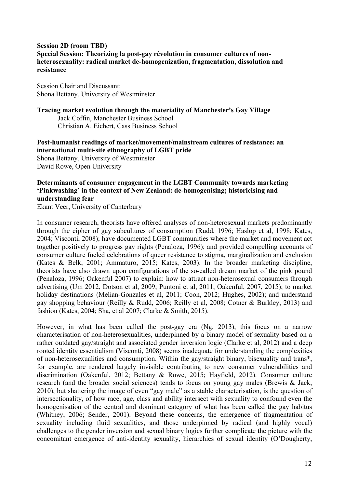# **Session 2D (room TBD) Special Session: Theorizing la post-gay révolution in consumer cultures of nonheterosexuality: radical market de-homogenization, fragmentation, dissolution and resistance**

Session Chair and Discussant: Shona Bettany, University of Westminster

**Tracing market evolution through the materiality of Manchester's Gay Village**  Jack Coffin, Manchester Business School Christian A. Eichert, Cass Business School

**Post-humanist readings of market/movement/mainstream cultures of resistance: an international multi-site ethnography of LGBT pride**  Shona Bettany, University of Westminster David Rowe, Open University

# **Determinants of consumer engagement in the LGBT Community towards marketing 'Pinkwashing' in the context of New Zealand: de-homogenising; historicising and understanding fear**

Ekant Veer, University of Canterbury

In consumer research, theorists have offered analyses of non-heterosexual markets predominantly through the cipher of gay subcultures of consumption (Rudd, 1996; Haslop et al, 1998; Kates, 2004; Visconti, 2008); have documented LGBT communities where the market and movement act together positively to progress gay rights (Penaloza, 1996); and provided compelling accounts of consumer culture fueled celebrations of queer resistance to stigma, marginalization and exclusion (Kates & Belk, 2001; Ammaturo, 2015; Kates, 2003). In the broader marketing discipline, theorists have also drawn upon configurations of the so-called dream market of the pink pound (Penaloza, 1996; Oakenful 2007) to explain: how to attract non-heterosexual consumers through advertising (Um 2012, Dotson et al, 2009; Puntoni et al, 2011, Oakenful, 2007, 2015); to market holiday destinations (Melian-Gonzales et al, 2011; Coon, 2012; Hughes, 2002); and understand gay shopping behaviour (Reilly & Rudd, 2006; Reilly et al, 2008; Cotner & Burkley, 2013) and fashion (Kates, 2004; Sha, et al 2007; Clarke & Smith, 2015).

However, in what has been called the post-gay era (Ng, 2013), this focus on a narrow characterisation of non-heterosexualities, underpinned by a binary model of sexuality based on a rather outdated gay/straight and associated gender inversion logic (Clarke et al, 2012) and a deep rooted identity essentialism (Visconti, 2008) seems inadequate for understanding the complexities of non-heterosexualities and consumption. Within the gay/straight binary, bisexuality and trans\*, for example, are rendered largely invisible contributing to new consumer vulnerabilities and discrimination (Oakenful, 2012; Bettany & Rowe, 2015; Hayfield, 2012). Consumer culture research (and the broader social sciences) tends to focus on young gay males (Brewis & Jack, 2010), but shattering the image of even "gay male" as a stable characterisation, is the question of intersectionality, of how race, age, class and ability intersect with sexuality to confound even the homogenisation of the central and dominant category of what has been called the gay habitus (Whitney, 2006; Sender, 2001). Beyond these concerns, the emergence of fragmentation of sexuality including fluid sexualities, and those underpinned by radical (and highly vocal) challenges to the gender inversion and sexual binary logics further complicate the picture with the concomitant emergence of anti-identity sexuality, hierarchies of sexual identity (O'Dougherty,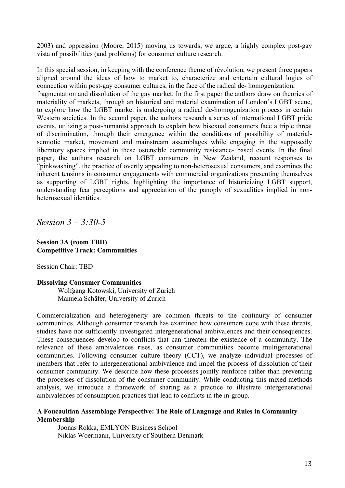2003) and oppression (Moore, 2015) moving us towards, we argue, a highly complex post-gay vista of possibilities (and problems) for consumer culture research.

In this special session, in keeping with the conference theme of révolution, we present three papers aligned around the ideas of how to market to, characterize and entertain cultural logics of connection within post-gay consumer cultures, in the face of the radical de- homogenization, fragmentation and dissolution of the gay market. In the first paper the authors draw on theories of materiality of markets, through an historical and material examination of London's LGBT scene, to explore how the LGBT market is undergoing a radical de-homogenization process in certain Western societies. In the second paper, the authors research a series of international LGBT pride events, utilizing a post-humanist approach to explain how bisexual consumers face a triple threat of discrimination, through their emergence within the conditions of possibility of materialsemiotic market, movement and mainstream assemblages while engaging in the supposedly liberatory spaces implied in these ostensible community resistance- based events. In the final paper, the authors research on LGBT consumers in New Zealand, recount responses to "pinkwashing", the practice of overtly appealing to non-heterosexual consumers, and examines the inherent tensions in consumer engagements with commercial organizations presenting themselves as supporting of LGBT rights, highlighting the importance of historicizing LGBT support, understanding fear perceptions and appreciation of the panoply of sexualities implied in nonheterosexual identities.

*Session 3 – 3:30-5*

# **Session 3A (room TBD) Competitive Track: Communities**

Session Chair: TBD

# **Dissolving Consumer Communities**

Wolfgang Kotowski, University of Zurich Manuela Schäfer, University of Zurich

Commercialization and heterogeneity are common threats to the continuity of consumer communities. Although consumer research has examined how consumers cope with these threats, studies have not sufficiently investigated intergenerational ambivalences and their consequences. These consequences develop to conflicts that can threaten the existence of a community. The relevance of these ambivalences rises, as consumer communities become multigenerational communities. Following consumer culture theory (CCT), we analyze individual processes of members that refer to intergenerational ambivalence and impel the process of dissolution of their consumer community. We describe how these processes jointly reinforce rather than preventing the processes of dissolution of the consumer community. While conducting this mixed-methods analysis, we introduce a framework of sharing as a practice to illustrate intergenerational ambivalences of consumption practices that lead to conflicts in the in-group.

# **A Foucaultian Assemblage Perspective: The Role of Language and Rules in Community Membership**

Joonas Rokka, EMLYON Business School Niklas Woermann, University of Southern Denmark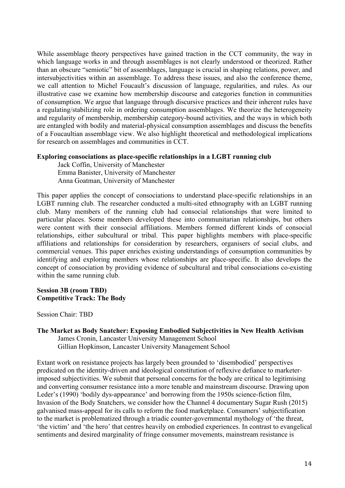While assemblage theory perspectives have gained traction in the CCT community, the way in which language works in and through assemblages is not clearly understood or theorized. Rather than an obscure "semiotic" bit of assemblages, language is crucial in shaping relations, power, and intersubjectivities within an assemblage. To address these issues, and also the conference theme, we call attention to Michel Foucault's discussion of language, regularities, and rules. As our illustrative case we examine how membership discourse and categories function in communities of consumption. We argue that language through discursive practices and their inherent rules have a regulating/stabilizing role in ordering consumption assemblages. We theorize the heterogeneity and regularity of membership, membership category-bound activities, and the ways in which both are entangled with bodily and material-physical consumption assemblages and discuss the benefits of a Foucaultian assemblage view. We also highlight theoretical and methodological implications for research on assemblages and communities in CCT.

# **Exploring consociations as place-specific relationships in a LGBT running club**

Jack Coffin, University of Manchester Emma Banister, University of Manchester Anna Goatman, University of Manchester

This paper applies the concept of consociations to understand place-specific relationships in an LGBT running club. The researcher conducted a multi-sited ethnography with an LGBT running club. Many members of the running club had consocial relationships that were limited to particular places. Some members developed these into communitarian relationships, but others were content with their consocial affiliations. Members formed different kinds of consocial relationships, either subcultural or tribal. This paper highlights members with place-specific affiliations and relationships for consideration by researchers, organisers of social clubs, and commercial venues. This paper enriches existing understandings of consumption communities by identifying and exploring members whose relationships are place-specific. It also develops the concept of consociation by providing evidence of subcultural and tribal consociations co-existing within the same running club.

# **Session 3B (room TBD) Competitive Track: The Body**

Session Chair: TBD

Extant work on resistance projects has largely been grounded to 'disembodied' perspectives predicated on the identity-driven and ideological constitution of reflexive defiance to marketerimposed subjectivities. We submit that personal concerns for the body are critical to legitimising and converting consumer resistance into a more tenable and mainstream discourse. Drawing upon Leder's (1990) 'bodily dys-appearance' and borrowing from the 1950s science-fiction film, Invasion of the Body Snatchers, we consider how the Channel 4 documentary Sugar Rush (2015) galvanised mass-appeal for its calls to reform the food marketplace. Consumers' subjectification to the market is problematized through a triadic counter-governmental mythology of 'the threat, 'the victim' and 'the hero' that centres heavily on embodied experiences. In contrast to evangelical sentiments and desired marginality of fringe consumer movements, mainstream resistance is

**The Market as Body Snatcher: Exposing Embodied Subjectivities in New Health Activism** James Cronin, Lancaster University Management School Gillian Hopkinson, Lancaster University Management School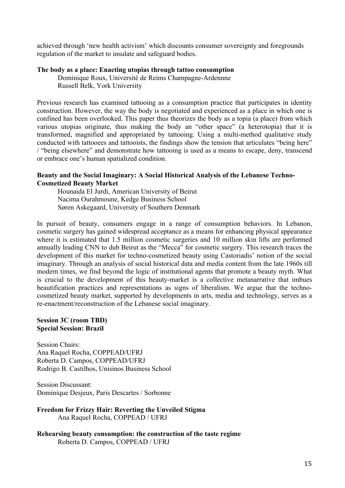achieved through 'new health activism' which discounts consumer sovereignty and foregrounds regulation of the market to insulate and safeguard bodies.

### **The body as a place: Enacting utopias through tattoo consumption**

Dominique Roux, Université de Reims Champagne-Ardennne Russell Belk, York University

Previous research has examined tattooing as a consumption practice that participates in identity construction. However, the way the body is negotiated and experienced as a place in which one is confined has been overlooked. This paper thus theorizes the body as a topia (a place) from which various utopias originate, thus making the body an "other space" (a heterotopia) that it is transformed, magnified and appropriated by tattooing. Using a multi-method qualitative study conducted with tattooees and tattooists, the findings show the tension that articulates "being here" / "being elsewhere" and demonstrate how tattooing is used as a means to escape, deny, transcend or embrace one's human spatialized condition.

### **Beauty and the Social Imaginary: A Social Historical Analysis of the Lebanese Techno-Cosmetized Beauty Market**

Hounaida El Jurdi, American University of Beirut Nacima Ourahmoune, Kedge Business School Søren Askegaard, University of Southern Denmark

In pursuit of beauty, consumers engage in a range of consumption behaviors. In Lebanon, cosmetic surgery has gained widespread acceptance as a means for enhancing physical appearance where it is estimated that 1.5 million cosmetic surgeries and 10 million skin lifts are performed annually leading CNN to dub Beirut as the "Mecca" for cosmetic surgery. This research traces the development of this market for techno-cosmetized beauty using Castoriadis' notion of the social imaginary. Through an analysis of social historical data and media content from the late 1960s till modern times, we find beyond the logic of institutional agents that promote a beauty myth. What is crucial to the development of this beauty-market is a collective metanarrative that imbues beautification practices and representations as signs of liberalism. We argue that the technocosmetized beauty market, supported by developments in arts, media and technology, serves as a re-enactment/reconstruction of the Lebanese social imaginary.

# **Session 3C (room TBD) Special Session: Brazil**

Session Chairs: Ana Raquel Rocha, COPPEAD/UFRJ Roberta D. Campos, COPPEAD/UFRJ Rodrigo B. Castilhos, Unisinos Business School

Session Discussant: Dominique Desjeux, Paris Descartes / Sorbonne

**Freedom for Frizzy Hair: Reverting the Unveiled Stigma**  Ana Raquel Rocha, COPPEAD / UFRJ

**Rehearsing beauty consumption: the construction of the taste regime**  Roberta D. Campos, COPPEAD / UFRJ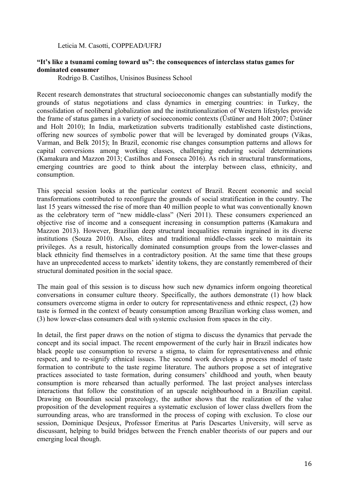### Leticia M. Casotti, COPPEAD/UFRJ

### **"It's like a tsunami coming toward us": the consequences of interclass status games for dominated consumer**

Rodrigo B. Castilhos, Unisinos Business School

Recent research demonstrates that structural socioeconomic changes can substantially modify the grounds of status negotiations and class dynamics in emerging countries: in Turkey, the consolidation of neoliberal globalization and the institutionalization of Western lifestyles provide the frame of status games in a variety of socioeconomic contexts (Üstüner and Holt 2007; Üstüner and Holt 2010); In India, marketization subverts traditionally established caste distinctions, offering new sources of symbolic power that will be leveraged by dominated groups (Vikas, Varman, and Belk 2015); In Brazil, economic rise changes consumption patterns and allows for capital conversions among working classes, challenging enduring social determinations (Kamakura and Mazzon 2013; Castilhos and Fonseca 2016). As rich in structural transformations, emerging countries are good to think about the interplay between class, ethnicity, and consumption.

This special session looks at the particular context of Brazil. Recent economic and social transformations contributed to reconfigure the grounds of social stratification in the country. The last 15 years witnessed the rise of more than 40 million people to what was conventionally known as the celebratory term of "new middle-class" (Neri 2011). These consumers experienced an objective rise of income and a consequent increasing in consumption patterns (Kamakura and Mazzon 2013). However, Brazilian deep structural inequalities remain ingrained in its diverse institutions (Souza 2010). Also, elites and traditional middle-classes seek to maintain its privileges. As a result, historically dominated consumption groups from the lower-classes and black ethnicity find themselves in a contradictory position. At the same time that these groups have an unprecedented access to markets' identity tokens, they are constantly remembered of their structural dominated position in the social space.

The main goal of this session is to discuss how such new dynamics inform ongoing theoretical conversations in consumer culture theory. Specifically, the authors demonstrate (1) how black consumers overcome stigma in order to outcry for representativeness and ethnic respect, (2) how taste is formed in the context of beauty consumption among Brazilian working class women, and (3) how lower-class consumers deal with systemic exclusion from spaces in the city.

In detail, the first paper draws on the notion of stigma to discuss the dynamics that pervade the concept and its social impact. The recent empowerment of the curly hair in Brazil indicates how black people use consumption to reverse a stigma, to claim for representativeness and ethnic respect, and to re-signify ethnical issues. The second work develops a process model of taste formation to contribute to the taste regime literature. The authors propose a set of integrative practices associated to taste formation, during consumers' childhood and youth, when beauty consumption is more rehearsed than actually performed. The last project analyses interclass interactions that follow the constitution of an upscale neighbourhood in a Brazilian capital. Drawing on Bourdian social praxeology, the author shows that the realization of the value proposition of the development requires a systematic exclusion of lower class dwellers from the surrounding areas, who are transformed in the process of coping with exclusion. To close our session, Dominique Desjeux, Professor Emeritus at Paris Descartes University, will serve as discussant, helping to build bridges between the French enabler theorists of our papers and our emerging local though.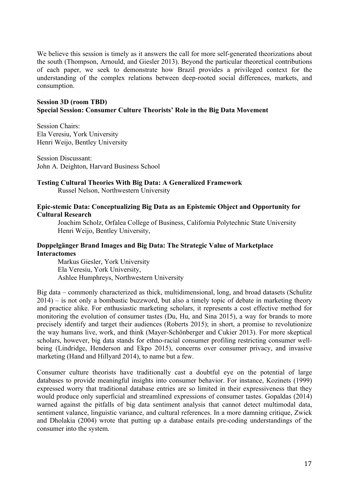We believe this session is timely as it answers the call for more self-generated theorizations about the south (Thompson, Arnould, and Giesler 2013). Beyond the particular theoretical contributions of each paper, we seek to demonstrate how Brazil provides a privileged context for the understanding of the complex relations between deep-rooted social differences, markets, and consumption.

# **Session 3D (room TBD) Special Session: Consumer Culture Theorists' Role in the Big Data Movement**

Session Chairs: Ela Veresiu, York University Henri Weijo, Bentley University

Session Discussant: John A. Deighton, Harvard Business School

# **Testing Cultural Theories With Big Data: A Generalized Framework**

Russel Nelson, Northwestern University

# **Epic-stemic Data: Conceptualizing Big Data as an Epistemic Object and Opportunity for Cultural Research**

Joachim Scholz, Orfalea College of Business, California Polytechnic State University Henri Weijo, Bentley University,

# **Doppelgänger Brand Images and Big Data: The Strategic Value of Marketplace Interactomes**

Markus Giesler, York University Ela Veresiu, York University, Ashlee Humphreys, Northwestern University

Big data – commonly characterized as thick, multidimensional, long, and broad datasets (Schulitz 2014) – is not only a bombastic buzzword, but also a timely topic of debate in marketing theory and practice alike. For enthusiastic marketing scholars, it represents a cost effective method for monitoring the evolution of consumer tastes (Du, Hu, and Sina 2015), a way for brands to more precisely identify and target their audiences (Roberts 2015); in short, a promise to revolutionize the way humans live, work, and think (Mayer-Schönberger and Cukier 2013). For more skeptical scholars, however, big data stands for ethno-racial consumer profiling restricting consumer wellbeing (Lindridge, Henderson and Ekpo 2015), concerns over consumer privacy, and invasive marketing (Hand and Hillyard 2014), to name but a few.

Consumer culture theorists have traditionally cast a doubtful eye on the potential of large databases to provide meaningful insights into consumer behavior. For instance, Kozinets (1999) expressed worry that traditional database entries are so limited in their expressiveness that they would produce only superficial and streamlined expressions of consumer tastes. Gopaldas (2014) warned against the pitfalls of big data sentiment analysis that cannot detect multimodal data, sentiment valance, linguistic variance, and cultural references. In a more damning critique, Zwick and Dholakia (2004) wrote that putting up a database entails pre-coding understandings of the consumer into the system.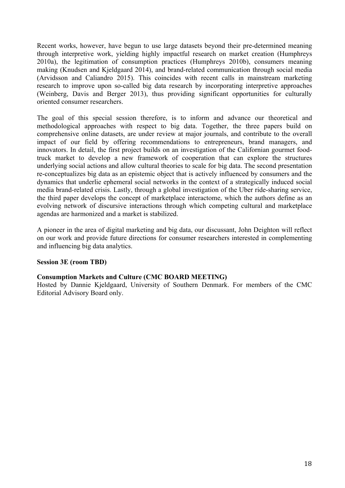Recent works, however, have begun to use large datasets beyond their pre-determined meaning through interpretive work, yielding highly impactful research on market creation (Humphreys 2010a), the legitimation of consumption practices (Humphreys 2010b), consumers meaning making (Knudsen and Kjeldgaard 2014), and brand-related communication through social media (Arvidsson and Caliandro 2015). This coincides with recent calls in mainstream marketing research to improve upon so-called big data research by incorporating interpretive approaches (Weinberg, Davis and Berger 2013), thus providing significant opportunities for culturally oriented consumer researchers.

The goal of this special session therefore, is to inform and advance our theoretical and methodological approaches with respect to big data. Together, the three papers build on comprehensive online datasets, are under review at major journals, and contribute to the overall impact of our field by offering recommendations to entrepreneurs, brand managers, and innovators. In detail, the first project builds on an investigation of the Californian gourmet foodtruck market to develop a new framework of cooperation that can explore the structures underlying social actions and allow cultural theories to scale for big data. The second presentation re-conceptualizes big data as an epistemic object that is actively influenced by consumers and the dynamics that underlie ephemeral social networks in the context of a strategically induced social media brand-related crisis. Lastly, through a global investigation of the Uber ride-sharing service, the third paper develops the concept of marketplace interactome, which the authors define as an evolving network of discursive interactions through which competing cultural and marketplace agendas are harmonized and a market is stabilized.

A pioneer in the area of digital marketing and big data, our discussant, John Deighton will reflect on our work and provide future directions for consumer researchers interested in complementing and influencing big data analytics.

# **Session 3E (room TBD)**

### **Consumption Markets and Culture (CMC BOARD MEETING)**

Hosted by Dannie Kjeldgaard, University of Southern Denmark. For members of the CMC Editorial Advisory Board only.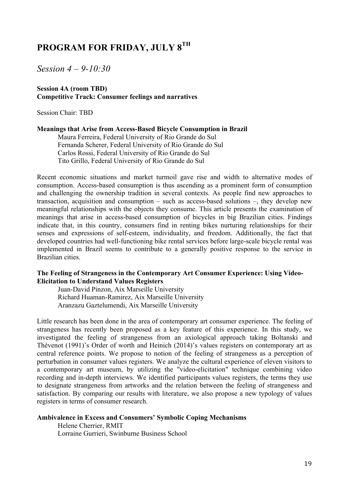# **PROGRAM FOR FRIDAY, JULY 8TH**

*Session 4 – 9-10:30*

# **Session 4A (room TBD) Competitive Track: Consumer feelings and narratives**

Session Chair: TBD

### **Meanings that Arise from Access-Based Bicycle Consumption in Brazil**

Maura Ferreira, Federal University of Rio Grande do Sul Fernanda Scherer, Federal University of Rio Grande do Sul Carlos Rossi, Federal University of Rio Grande do Sul Tito Grillo, Federal University of Rio Grande do Sul

Recent economic situations and market turmoil gave rise and width to alternative modes of consumption. Access-based consumption is thus ascending as a prominent form of consumption and challenging the ownership tradition in several contexts. As people find new approaches to transaction, acquisition and consumption – such as access-based solutions –, they develop new meaningful relationships with the objects they consume. This article presents the examination of meanings that arise in access-based consumption of bicycles in big Brazilian cities. Findings indicate that, in this country, consumers find in renting bikes nurturing relationships for their senses and expressions of self-esteem, individuality, and freedom. Additionally, the fact that developed countries had well-functioning bike rental services before large-scale bicycle rental was implemented in Brazil seems to contribute to a generally positive response to the service in Brazilian cities.

### **The Feeling of Strangeness in the Contemporary Art Consumer Experience: Using Video-Elicitation to Understand Values Registers**

Juan-David Pinzon, Aix Marseille University Richard Huaman-Ramirez, Aix Marseille University Aranzazu Gaztelumendi, Aix Marseille University

Little research has been done in the area of contemporary art consumer experience. The feeling of strangeness has recently been proposed as a key feature of this experience. In this study, we investigated the feeling of strangeness from an axiological approach taking Boltanski and Thévenot (1991)'s Order of worth and Heinich (2014)'s values registers on contemporary art as central reference points. We propose to notion of the feeling of strangeness as a perception of perturbation in consumer values registers. We analyze the cultural experience of eleven visitors to a contemporary art museum, by utilizing the "video-elicitation" technique combining video recording and in-depth interviews. We identified participants values registers, the terms they use to designate strangeness from artworks and the relation between the feeling of strangeness and satisfaction. By comparing our results with literature, we also propose a new typology of values registers in terms of consumer research.

# **Ambivalence in Excess and Consumers' Symbolic Coping Mechanisms**

Helene Cherrier, RMIT Lorraine Gurrieri, Swinburne Business School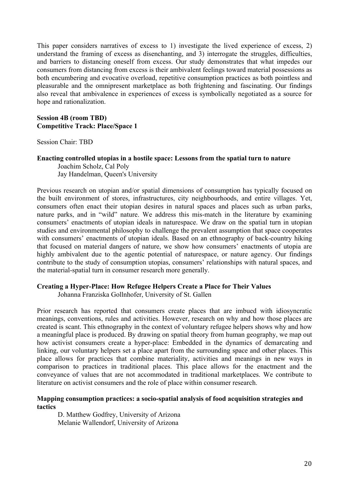This paper considers narratives of excess to 1) investigate the lived experience of excess, 2) understand the framing of excess as disenchanting, and 3) interrogate the struggles, difficulties, and barriers to distancing oneself from excess. Our study demonstrates that what impedes our consumers from distancing from excess is their ambivalent feelings toward material possessions as both encumbering and evocative overload, repetitive consumption practices as both pointless and pleasurable and the omnipresent marketplace as both frightening and fascinating. Our findings also reveal that ambivalence in experiences of excess is symbolically negotiated as a source for hope and rationalization.

# **Session 4B (room TBD) Competitive Track: Place/Space 1**

Session Chair: TBD

# **Enacting controlled utopias in a hostile space: Lessons from the spatial turn to nature** Joachim Scholz, Cal Poly Jay Handelman, Queen's University

Previous research on utopian and/or spatial dimensions of consumption has typically focused on the built environment of stores, infrastructures, city neighbourhoods, and entire villages. Yet, consumers often enact their utopian desires in natural spaces and places such as urban parks, nature parks, and in "wild" nature. We address this mis-match in the literature by examining consumers' enactments of utopian ideals in naturespace. We draw on the spatial turn in utopian studies and environmental philosophy to challenge the prevalent assumption that space cooperates with consumers' enactments of utopian ideals. Based on an ethnography of back-country hiking that focused on material dangers of nature, we show how consumers' enactments of utopia are highly ambivalent due to the agentic potential of naturespace, or nature agency. Our findings contribute to the study of consumption utopias, consumers' relationships with natural spaces, and the material-spatial turn in consumer research more generally.

# **Creating a Hyper-Place: How Refugee Helpers Create a Place for Their Values**

Johanna Franziska Gollnhofer, University of St. Gallen

Prior research has reported that consumers create places that are imbued with idiosyncratic meanings, conventions, rules and activities. However, research on why and how those places are created is scant. This ethnography in the context of voluntary refugee helpers shows why and how a meaningful place is produced. By drawing on spatial theory from human geography, we map out how activist consumers create a hyper-place: Embedded in the dynamics of demarcating and linking, our voluntary helpers set a place apart from the surrounding space and other places. This place allows for practices that combine materiality, activities and meanings in new ways in comparison to practices in traditional places. This place allows for the enactment and the conveyance of values that are not accommodated in traditional marketplaces. We contribute to literature on activist consumers and the role of place within consumer research.

# **Mapping consumption practices: a socio-spatial analysis of food acquisition strategies and tactics**

D. Matthew Godfrey, University of Arizona Melanie Wallendorf, University of Arizona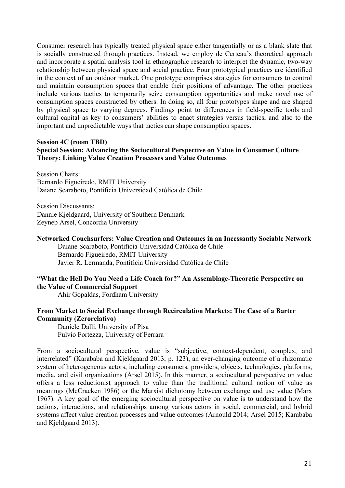Consumer research has typically treated physical space either tangentially or as a blank slate that is socially constructed through practices. Instead, we employ de Certeau's theoretical approach and incorporate a spatial analysis tool in ethnographic research to interpret the dynamic, two-way relationship between physical space and social practice. Four prototypical practices are identified in the context of an outdoor market. One prototype comprises strategies for consumers to control and maintain consumption spaces that enable their positions of advantage. The other practices include various tactics to temporarily seize consumption opportunities and make novel use of consumption spaces constructed by others. In doing so, all four prototypes shape and are shaped by physical space to varying degrees. Findings point to differences in field-specific tools and cultural capital as key to consumers' abilities to enact strategies versus tactics, and also to the important and unpredictable ways that tactics can shape consumption spaces.

# **Session 4C (room TBD)**

# **Special Session: Advancing the Sociocultural Perspective on Value in Consumer Culture Theory: Linking Value Creation Processes and Value Outcomes**

Session Chairs: Bernardo Figueiredo, RMIT University Daiane Scaraboto, Pontificia Universidad Católica de Chile

Session Discussants: Dannie Kjeldgaard, University of Southern Denmark Zeynep Arsel, Concordia University

### **Networked Couchsurfers: Value Creation and Outcomes in an Incessantly Sociable Network**

Daiane Scaraboto, Pontificia Universidad Católica de Chile Bernardo Figueiredo, RMIT University Javier R. Lermanda, Pontificia Universidad Católica de Chile

# **"What the Hell Do You Need a Life Coach for?" An Assemblage-Theoretic Perspective on the Value of Commercial Support**

Ahir Gopaldas, Fordham University

# **From Market to Social Exchange through Recirculation Markets: The Case of a Barter Community (Zerorelativo)**

Daniele Dalli, University of Pisa Fulvio Fortezza, University of Ferrara

From a sociocultural perspective, value is "subjective, context-dependent, complex, and interrelated" (Karababa and Kjeldgaard 2013, p. 123), an ever-changing outcome of a rhizomatic system of heterogeneous actors, including consumers, providers, objects, technologies, platforms, media, and civil organizations (Arsel 2015). In this manner, a sociocultural perspective on value offers a less reductionist approach to value than the traditional cultural notion of value as meanings (McCracken 1986) or the Marxist dichotomy between exchange and use value (Marx 1967). A key goal of the emerging sociocultural perspective on value is to understand how the actions, interactions, and relationships among various actors in social, commercial, and hybrid systems affect value creation processes and value outcomes (Arnould 2014; Arsel 2015; Karababa and Kjeldgaard 2013).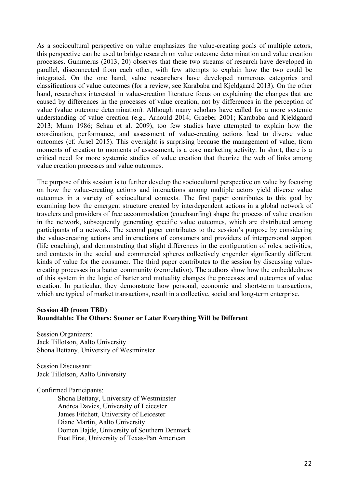As a sociocultural perspective on value emphasizes the value-creating goals of multiple actors, this perspective can be used to bridge research on value outcome determination and value creation processes. Gummerus (2013, 20) observes that these two streams of research have developed in parallel, disconnected from each other, with few attempts to explain how the two could be integrated. On the one hand, value researchers have developed numerous categories and classifications of value outcomes (for a review, see Karababa and Kjeldgaard 2013). On the other hand, researchers interested in value-creation literature focus on explaining the changes that are caused by differences in the processes of value creation, not by differences in the perception of value (value outcome determination). Although many scholars have called for a more systemic understanding of value creation (e.g., Arnould 2014; Graeber 2001; Karababa and Kjeldgaard 2013; Munn 1986; Schau et al. 2009), too few studies have attempted to explain how the coordination, performance, and assessment of value-creating actions lead to diverse value outcomes (cf. Arsel 2015). This oversight is surprising because the management of value, from moments of creation to moments of assessment, is a core marketing activity. In short, there is a critical need for more systemic studies of value creation that theorize the web of links among value creation processes and value outcomes.

The purpose of this session is to further develop the sociocultural perspective on value by focusing on how the value-creating actions and interactions among multiple actors yield diverse value outcomes in a variety of sociocultural contexts. The first paper contributes to this goal by examining how the emergent structure created by interdependent actions in a global network of travelers and providers of free accommodation (couchsurfing) shape the process of value creation in the network, subsequently generating specific value outcomes, which are distributed among participants of a network. The second paper contributes to the session's purpose by considering the value-creating actions and interactions of consumers and providers of interpersonal support (life coaching), and demonstrating that slight differences in the configuration of roles, activities, and contexts in the social and commercial spheres collectively engender significantly different kinds of value for the consumer. The third paper contributes to the session by discussing valuecreating processes in a barter community (zerorelativo). The authors show how the embeddedness of this system in the logic of barter and mutuality changes the processes and outcomes of value creation. In particular, they demonstrate how personal, economic and short-term transactions, which are typical of market transactions, result in a collective, social and long-term enterprise.

# **Session 4D (room TBD) Roundtable: The Others: Sooner or Later Everything Will be Different**

Session Organizers: Jack Tillotson, Aalto University Shona Bettany, University of Westminster

Session Discussant: Jack Tillotson, Aalto University

Confirmed Participants:

Shona Bettany, University of Westminster Andrea Davies, University of Leicester James Fitchett, University of Leicester Diane Martin, Aalto University Domen Bajde, University of Southern Denmark Fuat Firat, University of Texas-Pan American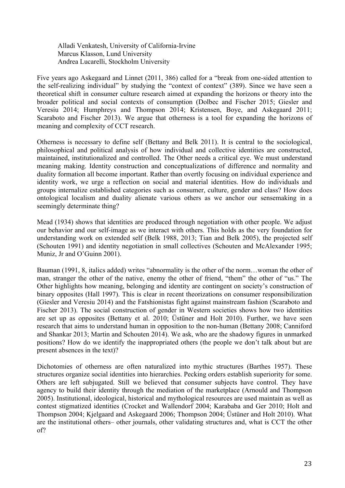Alladi Venkatesh, University of California-Irvine Marcus Klasson, Lund University Andrea Lucarelli, Stockholm University

Five years ago Askegaard and Linnet (2011, 386) called for a "break from one-sided attention to the self-realizing individual" by studying the "context of context" (389). Since we have seen a theoretical shift in consumer culture research aimed at expanding the horizons or theory into the broader political and social contexts of consumption (Dolbec and Fischer 2015; Giesler and Veresiu 2014; Humphreys and Thompson 2014; Kristensen, Boye, and Askegaard 2011; Scaraboto and Fischer 2013). We argue that otherness is a tool for expanding the horizons of meaning and complexity of CCT research.

Otherness is necessary to define self (Bettany and Belk 2011). It is central to the sociological, philosophical and political analysis of how individual and collective identities are constructed, maintained, institutionalized and controlled. The Other needs a critical eye. We must understand meaning making. Identity construction and conceptualizations of difference and normality and duality formation all become important. Rather than overtly focusing on individual experience and identity work, we urge a reflection on social and material identities. How do individuals and groups internalize established categories such as consumer, culture, gender and class? How does ontological localism and duality alienate various others as we anchor our sensemaking in a seemingly determinate thing?

Mead (1934) shows that identities are produced through negotiation with other people. We adjust our behavior and our self-image as we interact with others. This holds as the very foundation for understanding work on extended self (Belk 1988, 2013; Tian and Belk 2005), the projected self (Schouten 1991) and identity negotiation in small collectives (Schouten and McAlexander 1995; Muniz, Jr and O'Guinn 2001).

Bauman (1991, 8, italics added) writes "abnormality is the other of the norm…woman the other of man, stranger the other of the native, enemy the other of friend, "them" the other of "us." The Other highlights how meaning, belonging and identity are contingent on society's construction of binary opposites (Hall 1997). This is clear in recent theorizations on consumer responsibilization (Giesler and Veresiu 2014) and the Fatshionistas fight against mainstream fashion (Scaraboto and Fischer 2013). The social construction of gender in Western societies shows how two identities are set up as opposites (Bettany et al. 2010; Üstüner and Holt 2010). Further, we have seen research that aims to understand human in opposition to the non-human (Bettany 2008; Canniford and Shankar 2013; Martin and Schouten 2014). We ask, who are the shadowy figures in unmarked positions? How do we identify the inappropriated others (the people we don't talk about but are present absences in the text)?

Dichotomies of otherness are often naturalized into mythic structures (Barthes 1957). These structures organize social identities into hierarchies. Pecking orders establish superiority for some. Others are left subjugated. Still we believed that consumer subjects have control. They have agency to build their identity through the mediation of the marketplace (Arnould and Thompson 2005). Institutional, ideological, historical and mythological resources are used maintain as well as contest stigmatized identities (Crocket and Wallendorf 2004; Karababa and Ger 2010; Holt and Thompson 2004; Kjelgaard and Askegaard 2006; Thompson 2004; Üstüner and Holt 2010). What are the institutional others– other journals, other validating structures and, what is CCT the other of?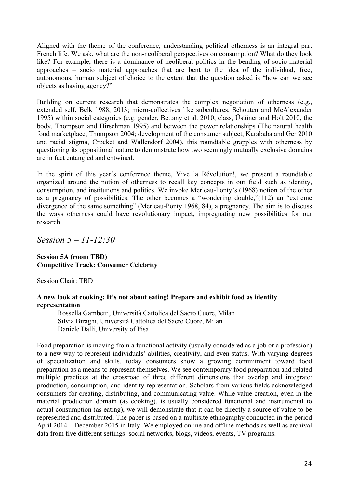Aligned with the theme of the conference, understanding political otherness is an integral part French life. We ask, what are the non-neoliberal perspectives on consumption? What do they look like? For example, there is a dominance of neoliberal politics in the bending of socio-material approaches – socio material approaches that are bent to the idea of the individual, free, autonomous, human subject of choice to the extent that the question asked is "how can we see objects as having agency?"

Building on current research that demonstrates the complex negotiation of otherness (e.g., extended self, Belk 1988, 2013; micro-collectives like subcultures, Schouten and McAlexander 1995) within social categories (e.g. gender, Bettany et al. 2010; class, Üstüner and Holt 2010, the body, Thompson and Hirschman 1995) and between the power relationships (The natural health food marketplace, Thompson 2004; development of the consumer subject, Karababa and Ger 2010 and racial stigma, Crocket and Wallendorf 2004), this roundtable grapples with otherness by questioning its oppositional nature to demonstrate how two seemingly mutually exclusive domains are in fact entangled and entwined.

In the spirit of this year's conference theme, Vive la Révolution!, we present a roundtable organized around the notion of otherness to recall key concepts in our field such as identity, consumption, and institutions and politics. We invoke Merleau-Ponty's (1968) notion of the other as a pregnancy of possibilities. The other becomes a "wondering double,"(112) an "extreme divergence of the same something" (Merleau-Ponty 1968, 84), a pregnancy. The aim is to discuss the ways otherness could have revolutionary impact, impregnating new possibilities for our research.

*Session 5 – 11-12:30*

# **Session 5A (room TBD) Competitive Track: Consumer Celebrity**

Session Chair: TBD

# **A new look at cooking: It's not about eating! Prepare and exhibit food as identity representation**

Rossella Gambetti, Università Cattolica del Sacro Cuore, Milan Silvia Biraghi, Università Cattolica del Sacro Cuore, Milan Daniele Dalli, University of Pisa

Food preparation is moving from a functional activity (usually considered as a job or a profession) to a new way to represent individuals' abilities, creativity, and even status. With varying degrees of specialization and skills, today consumers show a growing commitment toward food preparation as a means to represent themselves. We see contemporary food preparation and related multiple practices at the crossroad of three different dimensions that overlap and integrate: production, consumption, and identity representation. Scholars from various fields acknowledged consumers for creating, distributing, and communicating value. While value creation, even in the material production domain (as cooking), is usually considered functional and instrumental to actual consumption (as eating), we will demonstrate that it can be directly a source of value to be represented and distributed. The paper is based on a multisite ethnography conducted in the period April 2014 – December 2015 in Italy. We employed online and offline methods as well as archival data from five different settings: social networks, blogs, videos, events, TV programs.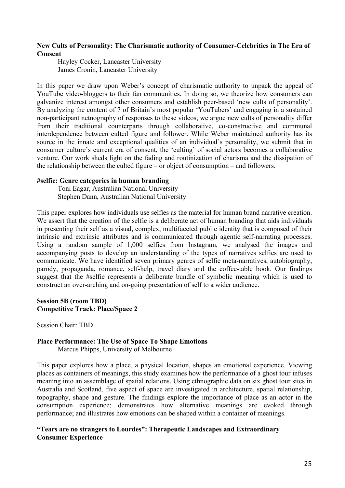# **New Cults of Personality: The Charismatic authority of Consumer-Celebrities in The Era of Consent**

Hayley Cocker, Lancaster University James Cronin, Lancaster University

In this paper we draw upon Weber's concept of charismatic authority to unpack the appeal of YouTube video-bloggers to their fan communities. In doing so, we theorize how consumers can galvanize interest amongst other consumers and establish peer-based 'new cults of personality'. By analyzing the content of 7 of Britain's most popular 'YouTubers' and engaging in a sustained non-participant netnography of responses to these videos, we argue new cults of personality differ from their traditional counterparts through collaborative, co-constructive and communal interdependence between culted figure and follower. While Weber maintained authority has its source in the innate and exceptional qualities of an individual's personality, we submit that in consumer culture's current era of consent, the 'culting' of social actors becomes a collaborative venture. Our work sheds light on the fading and routinization of charisma and the dissipation of the relationship between the culted figure – or object of consumption – and followers.

# **#selfie: Genre categories in human branding**

Toni Eagar, Australian National University Stephen Dann, Australian National University

This paper explores how individuals use selfies as the material for human brand narrative creation. We assert that the creation of the selfie is a deliberate act of human branding that aids individuals in presenting their self as a visual, complex, multifaceted public identity that is composed of their intrinsic and extrinsic attributes and is communicated through agentic self-narrating processes. Using a random sample of 1,000 selfies from Instagram, we analysed the images and accompanying posts to develop an understanding of the types of narratives selfies are used to communicate. We have identified seven primary genres of selfie meta-narratives, autobiography, parody, propaganda, romance, self-help, travel diary and the coffee-table book. Our findings suggest that the #selfie represents a deliberate bundle of symbolic meaning which is used to construct an over-arching and on-going presentation of self to a wider audience.

# **Session 5B (room TBD) Competitive Track: Place/Space 2**

Session Chair: TBD

# **Place Performance: The Use of Space To Shape Emotions**

Marcus Phipps, University of Melbourne

This paper explores how a place, a physical location, shapes an emotional experience. Viewing places as containers of meanings, this study examines how the performance of a ghost tour infuses meaning into an assemblage of spatial relations. Using ethnographic data on six ghost tour sites in Australia and Scotland, five aspect of space are investigated in architecture, spatial relationship, topography, shape and gesture. The findings explore the importance of place as an actor in the consumption experience; demonstrates how alternative meanings are evoked through performance; and illustrates how emotions can be shaped within a container of meanings.

# **"Tears are no strangers to Lourdes": Therapeutic Landscapes and Extraordinary Consumer Experience**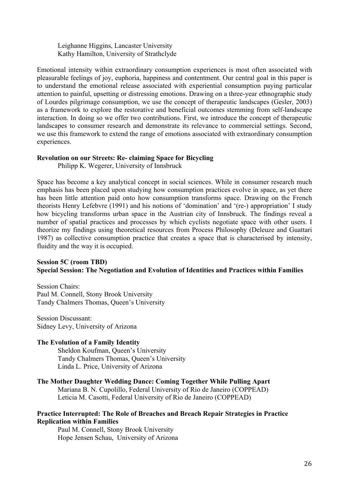Leighanne Higgins, Lancaster University Kathy Hamilton, University of Strathclyde

Emotional intensity within extraordinary consumption experiences is most often associated with pleasurable feelings of joy, euphoria, happiness and contentment. Our central goal in this paper is to understand the emotional release associated with experiential consumption paying particular attention to painful, upsetting or distressing emotions. Drawing on a three-year ethnographic study of Lourdes pilgrimage consumption, we use the concept of therapeutic landscapes (Gesler, 2003) as a framework to explore the restorative and beneficial outcomes stemming from self-landscape interaction. In doing so we offer two contributions. First, we introduce the concept of therapeutic landscapes to consumer research and demonstrate its relevance to commercial settings. Second, we use this framework to extend the range of emotions associated with extraordinary consumption experiences.

# **Revolution on our Streets: Re- claiming Space for Bicycling**

Philipp K. Wegerer, University of Innsbruck

Space has become a key analytical concept in social sciences. While in consumer research much emphasis has been placed upon studying how consumption practices evolve in space, as yet there has been little attention paid onto how consumption transforms space. Drawing on the French theorists Henry Lefebvre (1991) and his notions of 'domination' and '(re-) appropriation' I study how bicycling transforms urban space in the Austrian city of Innsbruck. The findings reveal a number of spatial practices and processes by which cyclists negotiate space with other users. I theorize my findings using theoretical resources from Process Philosophy (Deleuze and Guattari 1987) as collective consumption practice that creates a space that is characterised by intensity, fluidity and the way it is occupied.

# **Session 5C (room TBD) Special Session: The Negotiation and Evolution of Identities and Practices within Families**

Session Chairs: Paul M. Connell, Stony Brook University Tandy Chalmers Thomas, Queen's University

Session Discussant: Sidney Levy, University of Arizona

### **The Evolution of a Family Identity**

Sheldon Koufman, Queen's University Tandy Chalmers Thomas, Queen's University Linda L. Price, University of Arizona

# **The Mother Daughter Wedding Dance: Coming Together While Pulling Apart**

Mariana B. N. Cupolillo, Federal University of Rio de Janeiro (COPPEAD) Leticia M. Casotti, Federal University of Rio de Janeiro (COPPEAD)

# **Practice Interrupted: The Role of Breaches and Breach Repair Strategies in Practice Replication within Families**

Paul M. Connell, Stony Brook University Hope Jensen Schau, University of Arizona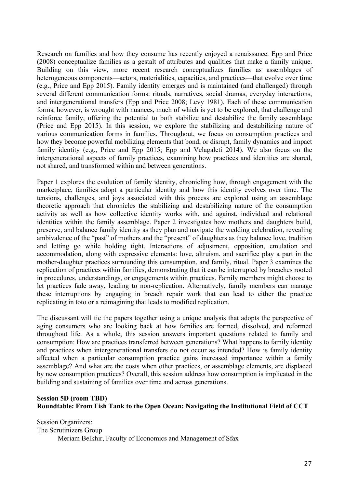Research on families and how they consume has recently enjoyed a renaissance. Epp and Price (2008) conceptualize families as a gestalt of attributes and qualities that make a family unique. Building on this view, more recent research conceptualizes families as assemblages of heterogeneous components—actors, materialities, capacities, and practices—that evolve over time (e.g., Price and Epp 2015). Family identity emerges and is maintained (and challenged) through several different communication forms: rituals, narratives, social dramas, everyday interactions, and intergenerational transfers (Epp and Price 2008; Levy 1981). Each of these communication forms, however, is wrought with nuances, much of which is yet to be explored, that challenge and reinforce family, offering the potential to both stabilize and destabilize the family assemblage (Price and Epp 2015). In this session, we explore the stabilizing and destabilizing nature of various communication forms in families. Throughout, we focus on consumption practices and how they become powerful mobilizing elements that bond, or disrupt, family dynamics and impact family identity (e.g., Price and Epp 2015; Epp and Velagaleti 2014). We also focus on the intergenerational aspects of family practices, examining how practices and identities are shared, not shared, and transformed within and between generations.

Paper 1 explores the evolution of family identity, chronicling how, through engagement with the marketplace, families adopt a particular identity and how this identity evolves over time. The tensions, challenges, and joys associated with this process are explored using an assemblage theoretic approach that chronicles the stabilizing and destabilizing nature of the consumption activity as well as how collective identity works with, and against, individual and relational identities within the family assemblage. Paper 2 investigates how mothers and daughters build, preserve, and balance family identity as they plan and navigate the wedding celebration, revealing ambivalence of the "past" of mothers and the "present" of daughters as they balance love, tradition and letting go while holding tight. Interactions of adjustment, opposition, emulation and accommodation, along with expressive elements: love, altruism, and sacrifice play a part in the mother-daughter practices surrounding this consumption, and family, ritual. Paper 3 examines the replication of practices within families, demonstrating that it can be interrupted by breaches rooted in procedures, understandings, or engagements within practices. Family members might choose to let practices fade away, leading to non-replication. Alternatively, family members can manage these interruptions by engaging in breach repair work that can lead to either the practice replicating in toto or a reimagining that leads to modified replication.

The discussant will tie the papers together using a unique analysis that adopts the perspective of aging consumers who are looking back at how families are formed, dissolved, and reformed throughout life. As a whole, this session answers important questions related to family and consumption: How are practices transferred between generations? What happens to family identity and practices when intergenerational transfers do not occur as intended? How is family identity affected when a particular consumption practice gains increased importance within a family assemblage? And what are the costs when other practices, or assemblage elements, are displaced by new consumption practices? Overall, this session address how consumption is implicated in the building and sustaining of families over time and across generations.

# **Session 5D (room TBD) Roundtable: From Fish Tank to the Open Ocean: Navigating the Institutional Field of CCT**

Session Organizers: The Scrutinizers Group Meriam Belkhir, Faculty of Economics and Management of Sfax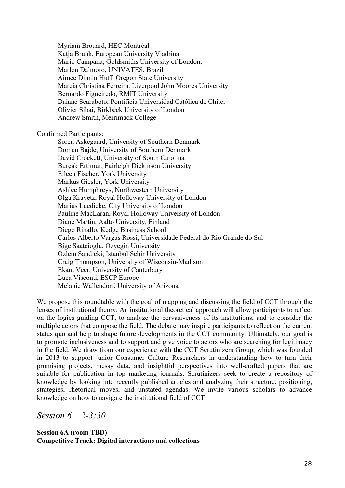Myriam Brouard, HEC Montréal Katja Brunk, European University Viadrina Mario Campana, Goldsmiths University of London, Marlon Dalmoro, UNIVATES, Brazil Aimee Dinnin Huff, Oregon State University Marcia Christina Ferreira, Liverpool John Moores University Bernardo Figueiredo, RMIT University Daiane Scaraboto, Pontificia Universidad Católica de Chile, Olivier Sibai, Birkbeck University of London Andrew Smith, Merrimack College

Confirmed Participants:

Soren Askegaard, University of Southern Denmark Domen Bajde, University of Southern Denmark David Crockett, University of South Carolina Burçak Ertimur, Fairleigh Dickinson University Eileen Fischer, York University Markus Giesler, York University Ashlee Humphreys, Northwestern University Olga Kravetz, Royal Holloway University of London Marius Luedicke, City University of London Pauline MacLaran, Royal Holloway University of London Diane Martin, Aalto University, Finland Diego Rinallo, Kedge Business School Carlos Alberto Vargas Rossi, Universidade Federal do Rio Grande do Sul Bige Saatcioglu, Ozyegin University Ozlem Sandicki, Istanbul Sehir University Craig Thompson, University of Wisconsin-Madison Ekant Veer, University of Canterbury Luca Visconti, ESCP Europe Melanie Wallendorf, University of Arizona

We propose this roundtable with the goal of mapping and discussing the field of CCT through the lenses of institutional theory. An institutional theoretical approach will allow participants to reflect on the logics guiding CCT, to analyze the pervasiveness of its institutions, and to consider the multiple actors that compose the field. The debate may inspire participants to reflect on the current status quo and help to shape future developments in the CCT community. Ultimately, our goal is to promote inclusiveness and to support and give voice to actors who are searching for legitimacy in the field. We draw from our experience with the CCT Scrutinizers Group, which was founded in 2013 to support junior Consumer Culture Researchers in understanding how to turn their promising projects, messy data, and insightful perspectives into well-crafted papers that are suitable for publication in top marketing journals. Scrutinizers seek to create a repository of knowledge by looking into recently published articles and analyzing their structure, positioning, strategies, rhetorical moves, and unstated agendas. We invite various scholars to advance knowledge on how to navigate the institutional field of CCT

*Session 6 – 2-3:30*

# **Session 6A (room TBD) Competitive Track: Digital interactions and collections**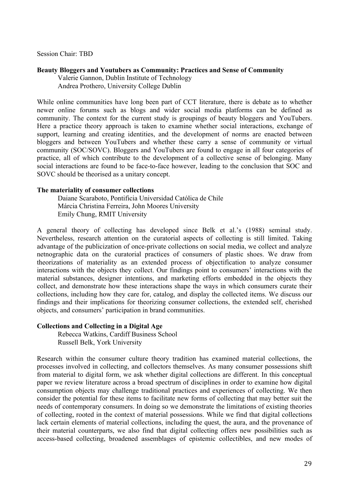Session Chair: TBD

### **Beauty Bloggers and Youtubers as Community: Practices and Sense of Community**

Valerie Gannon, Dublin Institute of Technology Andrea Prothero, University College Dublin

While online communities have long been part of CCT literature, there is debate as to whether newer online forums such as blogs and wider social media platforms can be defined as community. The context for the current study is groupings of beauty bloggers and YouTubers. Here a practice theory approach is taken to examine whether social interactions, exchange of support, learning and creating identities, and the development of norms are enacted between bloggers and between YouTubers and whether these carry a sense of community or virtual community (SOC/SOVC). Bloggers and YouTubers are found to engage in all four categories of practice, all of which contribute to the development of a collective sense of belonging. Many social interactions are found to be face-to-face however, leading to the conclusion that SOC and SOVC should be theorised as a unitary concept.

### **The materiality of consumer collections**

Daiane Scaraboto, Pontificia Universidad Católica de Chile Márcia Christina Ferreira, John Moores University Emily Chung, RMIT University

A general theory of collecting has developed since Belk et al.'s (1988) seminal study. Nevertheless, research attention on the curatorial aspects of collecting is still limited. Taking advantage of the publicization of once-private collections on social media, we collect and analyze netnographic data on the curatorial practices of consumers of plastic shoes. We draw from theorizations of materiality as an extended process of objectification to analyze consumer interactions with the objects they collect. Our findings point to consumers' interactions with the material substances, designer intentions, and marketing efforts embedded in the objects they collect, and demonstrate how these interactions shape the ways in which consumers curate their collections, including how they care for, catalog, and display the collected items. We discuss our findings and their implications for theorizing consumer collections, the extended self, cherished objects, and consumers' participation in brand communities.

### **Collections and Collecting in a Digital Age**

Rebecca Watkins, Cardiff Business School Russell Belk, York University

Research within the consumer culture theory tradition has examined material collections, the processes involved in collecting, and collectors themselves. As many consumer possessions shift from material to digital form, we ask whether digital collections are different. In this conceptual paper we review literature across a broad spectrum of disciplines in order to examine how digital consumption objects may challenge traditional practices and experiences of collecting. We then consider the potential for these items to facilitate new forms of collecting that may better suit the needs of contemporary consumers. In doing so we demonstrate the limitations of existing theories of collecting, rooted in the context of material possessions. While we find that digital collections lack certain elements of material collections, including the quest, the aura, and the provenance of their material counterparts, we also find that digital collecting offers new possibilities such as access-based collecting, broadened assemblages of epistemic collectibles, and new modes of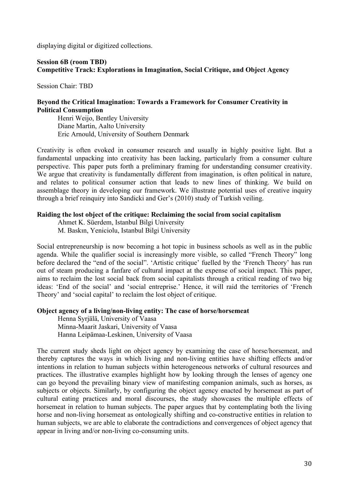displaying digital or digitized collections.

# **Session 6B (room TBD) Competitive Track: Explorations in Imagination, Social Critique, and Object Agency**

Session Chair: TBD

# **Beyond the Critical Imagination: Towards a Framework for Consumer Creativity in Political Consumption**

Henri Weijo, Bentley University Diane Martin, Aalto University Eric Arnould, University of Southern Denmark

Creativity is often evoked in consumer research and usually in highly positive light. But a fundamental unpacking into creativity has been lacking, particularly from a consumer culture perspective. This paper puts forth a preliminary framing for understanding consumer creativity. We argue that creativity is fundamentally different from imagination, is often political in nature, and relates to political consumer action that leads to new lines of thinking. We build on assemblage theory in developing our framework. We illustrate potential uses of creative inquiry through a brief reinquiry into Sandicki and Ger's (2010) study of Turkish veiling.

### **Raiding the lost object of the critique: Reclaiming the social from social capitalism**

Ahmet K. Süerdem, Istanbul Bilgi University M. Baskın, Yeniciolu, Istanbul Bilgi University

Social entrepreneurship is now becoming a hot topic in business schools as well as in the public agenda. While the qualifier social is increasingly more visible, so called "French Theory" long before declared the "end of the social". 'Artistic critique' fuelled by the 'French Theory' has run out of steam producing a fanfare of cultural impact at the expense of social impact. This paper, aims to reclaim the lost social back from social capitalists through a critical reading of two big ideas: 'End of the social' and 'social entreprise.' Hence, it will raid the territories of 'French Theory' and 'social capital' to reclaim the lost object of critique.

### **Object agency of a living/non-living entity: The case of horse/horsemeat**

Henna Syrjälä, University of Vaasa Minna-Maarit Jaskari, University of Vaasa Hanna Leipämaa-Leskinen, University of Vaasa

The current study sheds light on object agency by examining the case of horse/horsemeat, and thereby captures the ways in which living and non-living entities have shifting effects and/or intentions in relation to human subjects within heterogeneous networks of cultural resources and practices. The illustrative examples highlight how by looking through the lenses of agency one can go beyond the prevailing binary view of manifesting companion animals, such as horses, as subjects or objects. Similarly, by configuring the object agency enacted by horsemeat as part of cultural eating practices and moral discourses, the study showcases the multiple effects of horsemeat in relation to human subjects. The paper argues that by contemplating both the living horse and non-living horsemeat as ontologically shifting and co-constructive entities in relation to human subjects, we are able to elaborate the contradictions and convergences of object agency that appear in living and/or non-living co-consuming units.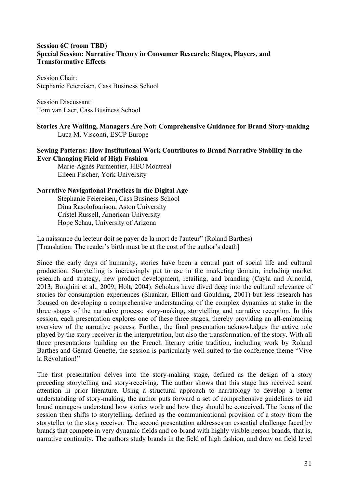# **Session 6C (room TBD) Special Session: Narrative Theory in Consumer Research: Stages, Players, and Transformative Effects**

Session Chair: Stephanie Feiereisen, Cass Business School

Session Discussant: Tom van Laer, Cass Business School

**Stories Are Waiting, Managers Are Not: Comprehensive Guidance for Brand Story-making**  Luca M. Visconti, ESCP Europe

# **Sewing Patterns: How Institutional Work Contributes to Brand Narrative Stability in the Ever Changing Field of High Fashion**

Marie-Agnès Parmentier, HEC Montreal Eileen Fischer, York University

# **Narrative Navigational Practices in the Digital Age**

Stephanie Feiereisen, Cass Business School Dina Rasolofoarison, Aston University Cristel Russell, American University Hope Schau, University of Arizona

La naissance du lecteur doit se payer de la mort de l'auteur" (Roland Barthes) [Translation: The reader's birth must be at the cost of the author's death]

Since the early days of humanity, stories have been a central part of social life and cultural production. Storytelling is increasingly put to use in the marketing domain, including market research and strategy, new product development, retailing, and branding (Cayla and Arnould, 2013; Borghini et al., 2009; Holt, 2004). Scholars have dived deep into the cultural relevance of stories for consumption experiences (Shankar, Elliott and Goulding, 2001) but less research has focused on developing a comprehensive understanding of the complex dynamics at stake in the three stages of the narrative process: story-making, storytelling and narrative reception. In this session, each presentation explores one of these three stages, thereby providing an all-embracing overview of the narrative process. Further, the final presentation acknowledges the active role played by the story receiver in the interpretation, but also the transformation, of the story. With all three presentations building on the French literary critic tradition, including work by Roland Barthes and Gérard Genette, the session is particularly well-suited to the conference theme "Vive la Révolution!"

The first presentation delves into the story-making stage, defined as the design of a story preceding storytelling and story-receiving. The author shows that this stage has received scant attention in prior literature. Using a structural approach to narratology to develop a better understanding of story-making, the author puts forward a set of comprehensive guidelines to aid brand managers understand how stories work and how they should be conceived. The focus of the session then shifts to storytelling, defined as the communicational provision of a story from the storyteller to the story receiver. The second presentation addresses an essential challenge faced by brands that compete in very dynamic fields and co-brand with highly visible person brands, that is, narrative continuity. The authors study brands in the field of high fashion, and draw on field level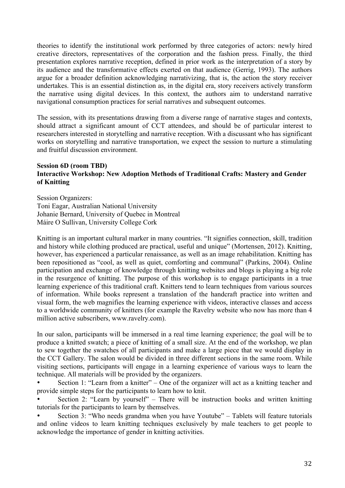theories to identify the institutional work performed by three categories of actors: newly hired creative directors, representatives of the corporation and the fashion press. Finally, the third presentation explores narrative reception, defined in prior work as the interpretation of a story by its audience and the transformative effects exerted on that audience (Gerrig, 1993). The authors argue for a broader definition acknowledging narrativizing, that is, the action the story receiver undertakes. This is an essential distinction as, in the digital era, story receivers actively transform the narrative using digital devices. In this context, the authors aim to understand narrative navigational consumption practices for serial narratives and subsequent outcomes.

The session, with its presentations drawing from a diverse range of narrative stages and contexts, should attract a significant amount of CCT attendees, and should be of particular interest to researchers interested in storytelling and narrative reception. With a discussant who has significant works on storytelling and narrative transportation, we expect the session to nurture a stimulating and fruitful discussion environment.

# **Session 6D (room TBD) Interactive Workshop: New Adoption Methods of Traditional Crafts: Mastery and Gender of Knitting**

Session Organizers: Toni Eagar, Australian National University Johanie Bernard, University of Quebec in Montreal Máire O Sullivan, University College Cork

Knitting is an important cultural marker in many countries. "It signifies connection, skill, tradition and history while clothing produced are practical, useful and unique" (Mortensen, 2012). Knitting, however, has experienced a particular renaissance, as well as an image rehabilitation. Knitting has been repositioned as "cool, as well as quiet, comforting and communal" (Parkins, 2004). Online participation and exchange of knowledge through knitting websites and blogs is playing a big role in the resurgence of knitting. The purpose of this workshop is to engage participants in a true learning experience of this traditional craft. Knitters tend to learn techniques from various sources of information. While books represent a translation of the handcraft practice into written and visual form, the web magnifies the learning experience with videos, interactive classes and access to a worldwide community of knitters (for example the Ravelry website who now has more than 4 million active subscribers, www.ravelry.com).

In our salon, participants will be immersed in a real time learning experience; the goal will be to produce a knitted swatch; a piece of knitting of a small size. At the end of the workshop, we plan to sew together the swatches of all participants and make a large piece that we would display in the CCT Gallery. The salon would be divided in three different sections in the same room. While visiting sections, participants will engage in a learning experience of various ways to learn the technique. All materials will be provided by the organizers.

• Section 1: "Learn from a knitter" – One of the organizer will act as a knitting teacher and provide simple steps for the participants to learn how to knit.

• Section 2: "Learn by yourself" – There will be instruction books and written knitting tutorials for the participants to learn by themselves.

• Section 3: "Who needs grandma when you have Youtube" – Tablets will feature tutorials and online videos to learn knitting techniques exclusively by male teachers to get people to acknowledge the importance of gender in knitting activities.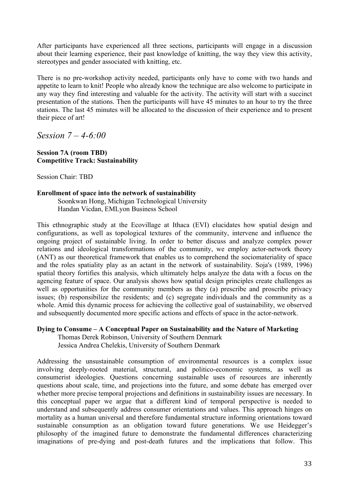After participants have experienced all three sections, participants will engage in a discussion about their learning experience, their past knowledge of knitting, the way they view this activity, stereotypes and gender associated with knitting, etc.

There is no pre-workshop activity needed, participants only have to come with two hands and appetite to learn to knit! People who already know the technique are also welcome to participate in any way they find interesting and valuable for the activity. The activity will start with a succinct presentation of the stations. Then the participants will have 45 minutes to an hour to try the three stations. The last 45 minutes will be allocated to the discussion of their experience and to present their piece of art!

*Session 7 – 4-6:00*

# **Session 7A (room TBD) Competitive Track: Sustainability**

Session Chair: TBD

# **Enrollment of space into the network of sustainability**

Soonkwan Hong, Michigan Technological University Handan Vicdan, EMLyon Business School

This ethnographic study at the Ecovillage at Ithaca (EVI) elucidates how spatial design and configurations, as well as topological textures of the community, intervene and influence the ongoing project of sustainable living. In order to better discuss and analyze complex power relations and ideological transformations of the community, we employ actor-network theory (ANT) as our theoretical framework that enables us to comprehend the sociomateriality of space and the roles spatiality play as an actant in the network of sustainability. Soja's (1989, 1996) spatial theory fortifies this analysis, which ultimately helps analyze the data with a focus on the agencing feature of space. Our analysis shows how spatial design principles create challenges as well as opportunities for the community members as they (a) prescribe and proscribe privacy issues; (b) responsibilize the residents; and (c) segregate individuals and the community as a whole. Amid this dynamic process for achieving the collective goal of sustainability, we observed and subsequently documented more specific actions and effects of space in the actor-network.

# **Dying to Consume – A Conceptual Paper on Sustainability and the Nature of Marketing**

Thomas Derek Robinson, University of Southern Denmark Jessica Andrea Chelekis, University of Southern Denmark

Addressing the unsustainable consumption of environmental resources is a complex issue involving deeply-rooted material, structural, and politico-economic systems, as well as consumerist ideologies. Questions concerning sustainable uses of resources are inherently questions about scale, time, and projections into the future, and some debate has emerged over whether more precise temporal projections and definitions in sustainability issues are necessary. In this conceptual paper we argue that a different kind of temporal perspective is needed to understand and subsequently address consumer orientations and values. This approach hinges on mortality as a human universal and therefore fundamental structure informing orientations toward sustainable consumption as an obligation toward future generations. We use Heidegger's philosophy of the imagined future to demonstrate the fundamental differences characterizing imaginations of pre-dying and post-death futures and the implications that follow. This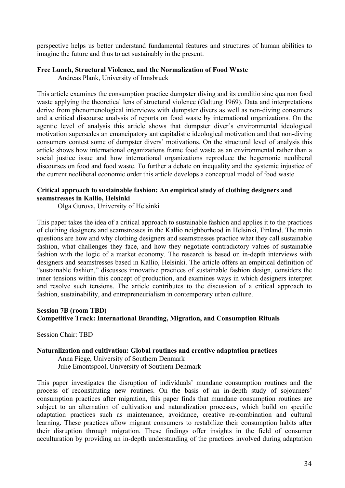perspective helps us better understand fundamental features and structures of human abilities to imagine the future and thus to act sustainably in the present.

# **Free Lunch, Structural Violence, and the Normalization of Food Waste**

Andreas Plank, University of Innsbruck

This article examines the consumption practice dumpster diving and its conditio sine qua non food waste applying the theoretical lens of structural violence (Galtung 1969). Data and interpretations derive from phenomenological interviews with dumpster divers as well as non-diving consumers and a critical discourse analysis of reports on food waste by international organizations. On the agentic level of analysis this article shows that dumpster diver's environmental ideological motivation supersedes an emancipatory anticapitalistic ideological motivation and that non-diving consumers contest some of dumpster divers' motivations. On the structural level of analysis this article shows how international organizations frame food waste as an environmental rather than a social justice issue and how international organizations reproduce the hegemonic neoliberal discourses on food and food waste. To further a debate on inequality and the systemic injustice of the current neoliberal economic order this article develops a conceptual model of food waste.

# **Critical approach to sustainable fashion: An empirical study of clothing designers and seamstresses in Kallio, Helsinki**

Olga Gurova, University of Helsinki

This paper takes the idea of a critical approach to sustainable fashion and applies it to the practices of clothing designers and seamstresses in the Kallio neighborhood in Helsinki, Finland. The main questions are how and why clothing designers and seamstresses practice what they call sustainable fashion, what challenges they face, and how they negotiate contradictory values of sustainable fashion with the logic of a market economy. The research is based on in-depth interviews with designers and seamstresses based in Kallio, Helsinki. The article offers an empirical definition of "sustainable fashion," discusses innovative practices of sustainable fashion design, considers the inner tensions within this concept of production, and examines ways in which designers interpret and resolve such tensions. The article contributes to the discussion of a critical approach to fashion, sustainability, and entrepreneurialism in contemporary urban culture.

# **Session 7B (room TBD) Competitive Track: International Branding, Migration, and Consumption Rituals**

Session Chair: TBD

# **Naturalization and cultivation: Global routines and creative adaptation practices**

Anna Fiege, University of Southern Denmark Julie Emontspool, University of Southern Denmark

This paper investigates the disruption of individuals' mundane consumption routines and the process of reconstituting new routines. On the basis of an in-depth study of sojourners' consumption practices after migration, this paper finds that mundane consumption routines are subject to an alternation of cultivation and naturalization processes, which build on specific adaptation practices such as maintenance, avoidance, creative re-combination and cultural learning. These practices allow migrant consumers to restabilize their consumption habits after their disruption through migration. These findings offer insights in the field of consumer acculturation by providing an in-depth understanding of the practices involved during adaptation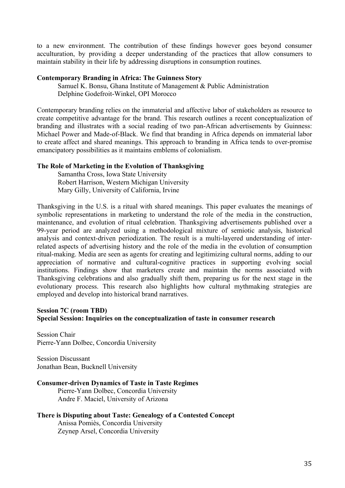to a new environment. The contribution of these findings however goes beyond consumer acculturation, by providing a deeper understanding of the practices that allow consumers to maintain stability in their life by addressing disruptions in consumption routines.

### **Contemporary Branding in Africa: The Guinness Story**

Samuel K. Bonsu, Ghana Institute of Management & Public Administration Delphine Godefroit-Winkel, OPI Morocco

Contemporary branding relies on the immaterial and affective labor of stakeholders as resource to create competitive advantage for the brand. This research outlines a recent conceptualization of branding and illustrates with a social reading of two pan-African advertisements by Guinness: Michael Power and Made-of-Black. We find that branding in Africa depends on immaterial labor to create affect and shared meanings. This approach to branding in Africa tends to over-promise emancipatory possibilities as it maintains emblems of colonialism.

### **The Role of Marketing in the Evolution of Thanksgiving**

Samantha Cross, Iowa State University Robert Harrison, Western Michigan University Mary Gilly, University of California, Irvine

Thanksgiving in the U.S. is a ritual with shared meanings. This paper evaluates the meanings of symbolic representations in marketing to understand the role of the media in the construction, maintenance, and evolution of ritual celebration. Thanksgiving advertisements published over a 99-year period are analyzed using a methodological mixture of semiotic analysis, historical analysis and context-driven periodization. The result is a multi-layered understanding of interrelated aspects of advertising history and the role of the media in the evolution of consumption ritual-making. Media are seen as agents for creating and legitimizing cultural norms, adding to our appreciation of normative and cultural-cognitive practices in supporting evolving social institutions. Findings show that marketers create and maintain the norms associated with Thanksgiving celebrations and also gradually shift them, preparing us for the next stage in the evolutionary process. This research also highlights how cultural mythmaking strategies are employed and develop into historical brand narratives.

# **Session 7C (room TBD) Special Session: Inquiries on the conceptualization of taste in consumer research**

Session Chair Pierre-Yann Dolbec, Concordia University

Session Discussant Jonathan Bean, Bucknell University

# **Consumer-driven Dynamics of Taste in Taste Regimes**

Pierre-Yann Dolbec, Concordia University Andre F. Maciel, University of Arizona

# **There is Disputing about Taste: Genealogy of a Contested Concept**

Anissa Pomiès, Concordia University Zeynep Arsel, Concordia University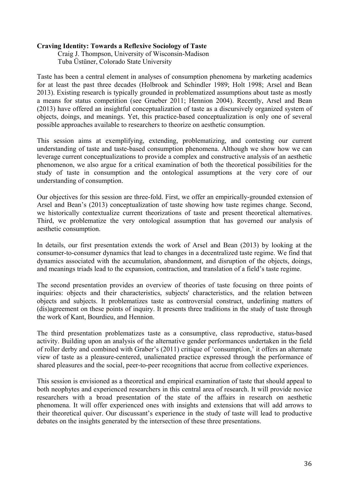# **Craving Identity: Towards a Reflexive Sociology of Taste**

Craig J. Thompson, University of Wisconsin-Madison Tuba Üstüner, Colorado State University

Taste has been a central element in analyses of consumption phenomena by marketing academics for at least the past three decades (Holbrook and Schindler 1989; Holt 1998; Arsel and Bean 2013). Existing research is typically grounded in problematized assumptions about taste as mostly a means for status competition (see Graeber 2011; Hennion 2004). Recently, Arsel and Bean (2013) have offered an insightful conceptualization of taste as a discursively organized system of objects, doings, and meanings. Yet, this practice-based conceptualization is only one of several possible approaches available to researchers to theorize on aesthetic consumption.

This session aims at exemplifying, extending, problematizing, and contesting our current understanding of taste and taste-based consumption phenomena. Although we show how we can leverage current conceptualizations to provide a complex and constructive analysis of an aesthetic phenomenon, we also argue for a critical examination of both the theoretical possibilities for the study of taste in consumption and the ontological assumptions at the very core of our understanding of consumption.

Our objectives for this session are three-fold. First, we offer an empirically-grounded extension of Arsel and Bean's (2013) conceptualization of taste showing how taste regimes change. Second, we historically contextualize current theorizations of taste and present theoretical alternatives. Third, we problematize the very ontological assumption that has governed our analysis of aesthetic consumption.

In details, our first presentation extends the work of Arsel and Bean (2013) by looking at the consumer-to-consumer dynamics that lead to changes in a decentralized taste regime. We find that dynamics associated with the accumulation, abandonment, and disruption of the objects, doings, and meanings triads lead to the expansion, contraction, and translation of a field's taste regime.

The second presentation provides an overview of theories of taste focusing on three points of inquiries: objects and their characteristics, subjects' characteristics, and the relation between objects and subjects. It problematizes taste as controversial construct, underlining matters of (dis)agreement on these points of inquiry. It presents three traditions in the study of taste through the work of Kant, Bourdieu, and Hennion.

The third presentation problematizes taste as a consumptive, class reproductive, status-based activity. Building upon an analysis of the alternative gender performances undertaken in the field of roller derby and combined with Graber's (2011) critique of 'consumption,' it offers an alternate view of taste as a pleasure-centered, unalienated practice expressed through the performance of shared pleasures and the social, peer-to-peer recognitions that accrue from collective experiences.

This session is envisioned as a theoretical and empirical examination of taste that should appeal to both neophytes and experienced researchers in this central area of research. It will provide novice researchers with a broad presentation of the state of the affairs in research on aesthetic phenomena. It will offer experienced ones with insights and extensions that will add arrows to their theoretical quiver. Our discussant's experience in the study of taste will lead to productive debates on the insights generated by the intersection of these three presentations.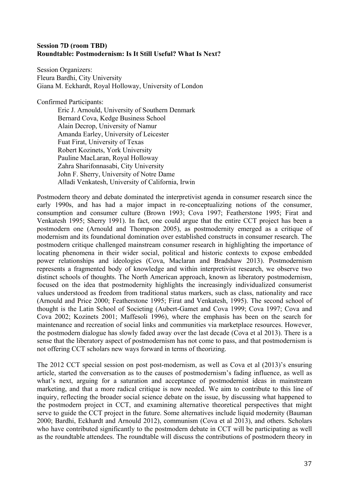# **Session 7D (room TBD) Roundtable: Postmodernism: Is It Still Useful? What Is Next?**

Session Organizers: Fleura Bardhi, City University Giana M. Eckhardt, Royal Holloway, University of London

Confirmed Participants:

Eric J. Arnould, University of Southern Denmark Bernard Cova, Kedge Business School Alain Decrop, University of Namur Amanda Earley, University of Leicester Fuat Firat, University of Texas Robert Kozinets, York University Pauline MacLaran, Royal Holloway Zahra Sharifonnasabi, City University John F. Sherry, University of Notre Dame Alladi Venkatesh, University of California, Irwin

Postmodern theory and debate dominated the interpretivist agenda in consumer research since the early 1990s, and has had a major impact in re-conceptualizing notions of the consumer, consumption and consumer culture (Brown 1993; Cova 1997; Featherstone 1995; Firat and Venkatesh 1995; Sherry 1991). In fact, one could argue that the entire CCT project has been a postmodern one (Arnould and Thompson 2005), as postmodernity emerged as a critique of modernism and its foundational domination over established constructs in consumer research. The postmodern critique challenged mainstream consumer research in highlighting the importance of locating phenomena in their wider social, political and historic contexts to expose embedded power relationships and ideologies (Cova, Maclaran and Bradshaw 2013). Postmodernism represents a fragmented body of knowledge and within interpretivist research, we observe two distinct schools of thoughts. The North American approach, known as liberatory postmodernism, focused on the idea that postmodernity highlights the increasingly individualized consumerist values understood as freedom from traditional status markers, such as class, nationality and race (Arnould and Price 2000; Featherstone 1995; Firat and Venkatesh, 1995). The second school of thought is the Latin School of Societing (Aubert-Gamet and Cova 1999; Cova 1997; Cova and Cova 2002; Kozinets 2001; Maffesoli 1996), where the emphasis has been on the search for maintenance and recreation of social links and communities via marketplace resources. However, the postmodern dialogue has slowly faded away over the last decade (Cova et al 2013). There is a sense that the liberatory aspect of postmodernism has not come to pass, and that postmodernism is not offering CCT scholars new ways forward in terms of theorizing.

The 2012 CCT special session on post post-modernism, as well as Cova et al (2013)'s ensuring article, started the conversation as to the causes of postmodernism's fading influence, as well as what's next, arguing for a saturation and acceptance of postmodernist ideas in mainstream marketing, and that a more radical critique is now needed. We aim to contribute to this line of inquiry, reflecting the broader social science debate on the issue, by discussing what happened to the postmodern project in CCT, and examining alternative theoretical perspectives that might serve to guide the CCT project in the future. Some alternatives include liquid modernity (Bauman 2000; Bardhi, Eckhardt and Arnould 2012), communism (Cova et al 2013), and others. Scholars who have contributed significantly to the postmodern debate in CCT will be participating as well as the roundtable attendees. The roundtable will discuss the contributions of postmodern theory in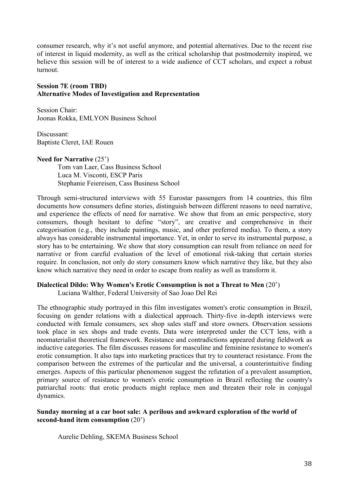consumer research, why it's not useful anymore, and potential alternatives. Due to the recent rise of interest in liquid modernity, as well as the critical scholarship that postmodernity inspired, we believe this session will be of interest to a wide audience of CCT scholars, and expect a robust turnout.

# **Session 7E (room TBD) Alternative Modes of Investigation and Representation**

Session Chair: Joonas Rokka, EMLYON Business School

Discussant: Baptiste Cleret, IAE Rouen

# **Need for Narrative** (25')

Tom van Laer, Cass Business School Luca M. Visconti, ESCP Paris Stephanie Feiereisen, Cass Business School

Through semi-structured interviews with 55 Eurostar passengers from 14 countries, this film documents how consumers define stories, distinguish between different reasons to need narrative, and experience the effects of need for narrative. We show that from an emic perspective, story consumers, though hesitant to define "story", are creative and comprehensive in their categorisation (e.g., they include paintings, music, and other preferred media). To them, a story always has considerable instrumental importance. Yet, in order to serve its instrumental purpose, a story has to be entertaining. We show that story consumption can result from reliance on need for narrative or from careful evaluation of the level of emotional risk-taking that certain stories require. In conclusion, not only do story consumers know which narrative they like, but they also know which narrative they need in order to escape from reality as well as transform it.

# **Dialectical Dildo: Why Women's Erotic Consumption is not a Threat to Men** (20')

Luciana Walther, Federal University of Sao Joao Del Rei

The ethnographic study portrayed in this film investigates women's erotic consumption in Brazil, focusing on gender relations with a dialectical approach. Thirty-five in-depth interviews were conducted with female consumers, sex shop sales staff and store owners. Observation sessions took place in sex shops and trade events. Data were interpreted under the CCT lens, with a neomaterialist theoretical framework. Resistance and contradictions appeared during fieldwork as inductive categories. The film discusses reasons for masculine and feminine resistance to women's erotic consumption. It also taps into marketing practices that try to counteract resistance. From the comparison between the extremes of the particular and the universal, a counterintuitive finding emerges. Aspects of this particular phenomenon suggest the refutation of a prevalent assumption, primary source of resistance to women's erotic consumption in Brazil reflecting the country's patriarchal roots: that erotic products might replace men and threaten their role in conjugal dynamics.

# **Sunday morning at a car boot sale: A perilous and awkward exploration of the world of second-hand item consumption** (20')

Aurelie Dehling, SKEMA Business School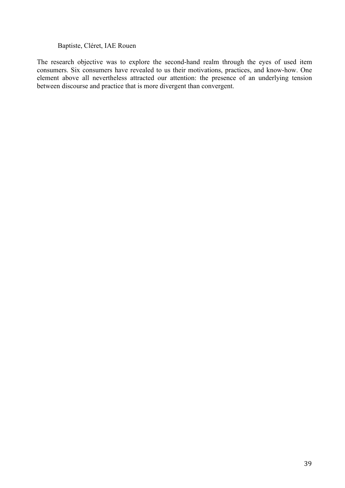### Baptiste, Cléret, IAE Rouen

The research objective was to explore the second-hand realm through the eyes of used item consumers. Six consumers have revealed to us their motivations, practices, and know-how. One element above all nevertheless attracted our attention: the presence of an underlying tension between discourse and practice that is more divergent than convergent.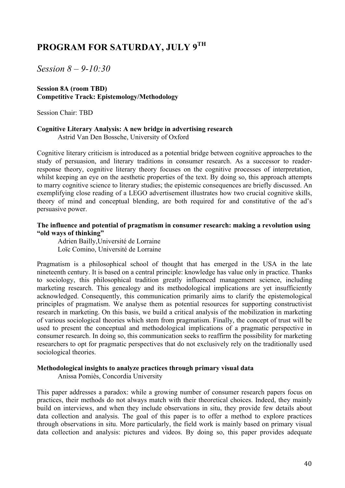# **PROGRAM FOR SATURDAY, JULY 9TH**

*Session 8 – 9-10:30*

# **Session 8A (room TBD) Competitive Track: Epistemology/Methodology**

Session Chair: TBD

# **Cognitive Literary Analysis: A new bridge in advertising research**

Astrid Van Den Bossche, University of Oxford

Cognitive literary criticism is introduced as a potential bridge between cognitive approaches to the study of persuasion, and literary traditions in consumer research. As a successor to readerresponse theory, cognitive literary theory focuses on the cognitive processes of interpretation, whilst keeping an eye on the aesthetic properties of the text. By doing so, this approach attempts to marry cognitive science to literary studies; the epistemic consequences are briefly discussed. An exemplifying close reading of a LEGO advertisement illustrates how two crucial cognitive skills, theory of mind and conceptual blending, are both required for and constitutive of the ad's persuasive power.

# **The influence and potential of pragmatism in consumer research: making a revolution using "old ways of thinking"**

Adrien Bailly,Université de Lorraine Loïc Comino, Université de Lorraine

Pragmatism is a philosophical school of thought that has emerged in the USA in the late nineteenth century. It is based on a central principle: knowledge has value only in practice. Thanks to sociology, this philosophical tradition greatly influenced management science, including marketing research. This genealogy and its methodological implications are yet insufficiently acknowledged. Consequently, this communication primarily aims to clarify the epistemological principles of pragmatism. We analyse them as potential resources for supporting constructivist research in marketing. On this basis, we build a critical analysis of the mobilization in marketing of various sociological theories which stem from pragmatism. Finally, the concept of trust will be used to present the conceptual and methodological implications of a pragmatic perspective in consumer research. In doing so, this communication seeks to reaffirm the possibility for marketing researchers to opt for pragmatic perspectives that do not exclusively rely on the traditionally used sociological theories.

### **Methodological insights to analyze practices through primary visual data**

Anissa Pomiès, Concordia University

This paper addresses a paradox: while a growing number of consumer research papers focus on practices, their methods do not always match with their theoretical choices. Indeed, they mainly build on interviews, and when they include observations in situ, they provide few details about data collection and analysis. The goal of this paper is to offer a method to explore practices through observations in situ. More particularly, the field work is mainly based on primary visual data collection and analysis: pictures and videos. By doing so, this paper provides adequate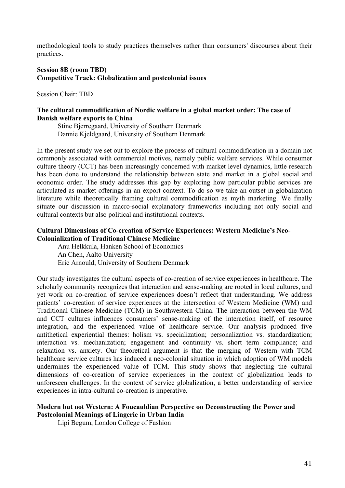methodological tools to study practices themselves rather than consumers' discourses about their practices.

# **Session 8B (room TBD) Competitive Track: Globalization and postcolonial issues**

Session Chair: TBD

### **The cultural commodification of Nordic welfare in a global market order: The case of Danish welfare exports to China**

Stine Bjerregaard, University of Southern Denmark Dannie Kjeldgaard, University of Southern Denmark

In the present study we set out to explore the process of cultural commodification in a domain not commonly associated with commercial motives, namely public welfare services. While consumer culture theory (CCT) has been increasingly concerned with market level dynamics, little research has been done to understand the relationship between state and market in a global social and economic order. The study addresses this gap by exploring how particular public services are articulated as market offerings in an export context. To do so we take an outset in globalization literature while theoretically framing cultural commodification as myth marketing. We finally situate our discussion in macro-social explanatory frameworks including not only social and cultural contexts but also political and institutional contexts.

# **Cultural Dimensions of Co-creation of Service Experiences: Western Medicine's Neo-Colonialization of Traditional Chinese Medicine**

Anu Helkkula, Hanken School of Economics An Chen, Aalto University Eric Arnould, University of Southern Denmark

Our study investigates the cultural aspects of co-creation of service experiences in healthcare. The scholarly community recognizes that interaction and sense-making are rooted in local cultures, and yet work on co-creation of service experiences doesn't reflect that understanding. We address patients' co-creation of service experiences at the intersection of Western Medicine (WM) and Traditional Chinese Medicine (TCM) in Southwestern China. The interaction between the WM and CCT cultures influences consumers' sense-making of the interaction itself, of resource integration, and the experienced value of healthcare service. Our analysis produced five antithetical experiential themes: holism vs. specialization; personalization vs. standardization; interaction vs. mechanization; engagement and continuity vs. short term compliance; and relaxation vs. anxiety. Our theoretical argument is that the merging of Western with TCM healthcare service cultures has induced a neo-colonial situation in which adoption of WM models undermines the experienced value of TCM. This study shows that neglecting the cultural dimensions of co-creation of service experiences in the context of globalization leads to unforeseen challenges. In the context of service globalization, a better understanding of service experiences in intra-cultural co-creation is imperative.

### **Modern but not Western: A Foucauldian Perspective on Deconstructing the Power and Postcolonial Meanings of Lingerie in Urban India**

Lipi Begum, London College of Fashion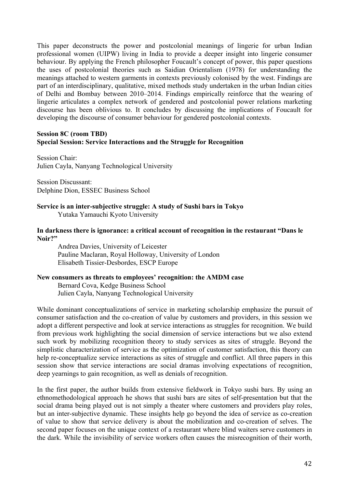This paper deconstructs the power and postcolonial meanings of lingerie for urban Indian professional women (UIPW) living in India to provide a deeper insight into lingerie consumer behaviour. By applying the French philosopher Foucault's concept of power, this paper questions the uses of postcolonial theories such as Saidian Orientalism (1978) for understanding the meanings attached to western garments in contexts previously colonised by the west. Findings are part of an interdisciplinary, qualitative, mixed methods study undertaken in the urban Indian cities of Delhi and Bombay between 2010–2014. Findings empirically reinforce that the wearing of lingerie articulates a complex network of gendered and postcolonial power relations marketing discourse has been oblivious to. It concludes by discussing the implications of Foucault for developing the discourse of consumer behaviour for gendered postcolonial contexts.

# **Session 8C (room TBD)**

# **Special Session: Service Interactions and the Struggle for Recognition**

Session Chair: Julien Cayla, Nanyang Technological University

Session Discussant: Delphine Dion, ESSEC Business School

### **Service is an inter-subjective struggle: A study of Sushi bars in Tokyo**  Yutaka Yamauchi Kyoto University

### **In darkness there is ignorance: a critical account of recognition in the restaurant "Dans le Noir?"**

Andrea Davies, University of Leicester Pauline Maclaran, Royal Holloway, University of London Elisabeth Tissier-Desbordes, ESCP Europe

# **New consumers as threats to employees' recognition: the AMDM case**

Bernard Cova, Kedge Business School Julien Cayla, Nanyang Technological University

While dominant conceptualizations of service in marketing scholarship emphasize the pursuit of consumer satisfaction and the co-creation of value by customers and providers, in this session we adopt a different perspective and look at service interactions as struggles for recognition. We build from previous work highlighting the social dimension of service interactions but we also extend such work by mobilizing recognition theory to study services as sites of struggle. Beyond the simplistic characterization of service as the optimization of customer satisfaction, this theory can help re-conceptualize service interactions as sites of struggle and conflict. All three papers in this session show that service interactions are social dramas involving expectations of recognition, deep yearnings to gain recognition, as well as denials of recognition.

In the first paper, the author builds from extensive fieldwork in Tokyo sushi bars. By using an ethnomethodological approach he shows that sushi bars are sites of self-presentation but that the social drama being played out is not simply a theater where customers and providers play roles, but an inter-subjective dynamic. These insights help go beyond the idea of service as co-creation of value to show that service delivery is about the mobilization and co-creation of selves. The second paper focuses on the unique context of a restaurant where blind waiters serve customers in the dark. While the invisibility of service workers often causes the misrecognition of their worth,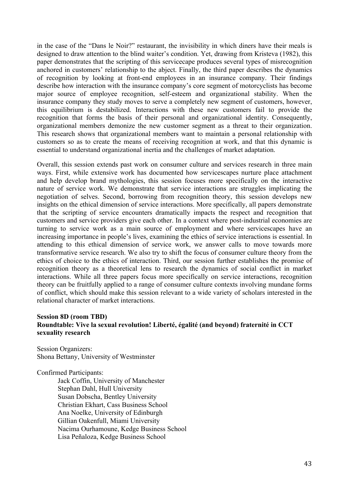in the case of the "Dans le Noir?" restaurant, the invisibility in which diners have their meals is designed to draw attention to the blind waiter's condition. Yet, drawing from Kristeva (1982), this paper demonstrates that the scripting of this servicecape produces several types of misrecognition anchored in customers' relationship to the abject. Finally, the third paper describes the dynamics of recognition by looking at front-end employees in an insurance company. Their findings describe how interaction with the insurance company's core segment of motorcyclists has become major source of employee recognition, self-esteem and organizational stability. When the insurance company they study moves to serve a completely new segment of customers, however, this equilibrium is destabilized. Interactions with these new customers fail to provide the recognition that forms the basis of their personal and organizational identity. Consequently, organizational members demonize the new customer segment as a threat to their organization. This research shows that organizational members want to maintain a personal relationship with customers so as to create the means of receiving recognition at work, and that this dynamic is essential to understand organizational inertia and the challenges of market adaptation.

Overall, this session extends past work on consumer culture and services research in three main ways. First, while extensive work has documented how servicescapes nurture place attachment and help develop brand mythologies, this session focuses more specifically on the interactive nature of service work. We demonstrate that service interactions are struggles implicating the negotiation of selves. Second, borrowing from recognition theory, this session develops new insights on the ethical dimension of service interactions. More specifically, all papers demonstrate that the scripting of service encounters dramatically impacts the respect and recognition that customers and service providers give each other. In a context where post-industrial economies are turning to service work as a main source of employment and where servicescapes have an increasing importance in people's lives, examining the ethics of service interactions is essential. In attending to this ethical dimension of service work, we answer calls to move towards more transformative service research. We also try to shift the focus of consumer culture theory from the ethics of choice to the ethics of interaction. Third, our session further establishes the promise of recognition theory as a theoretical lens to research the dynamics of social conflict in market interactions. While all three papers focus more specifically on service interactions, recognition theory can be fruitfully applied to a range of consumer culture contexts involving mundane forms of conflict, which should make this session relevant to a wide variety of scholars interested in the relational character of market interactions.

# **Session 8D (room TBD) Roundtable: Vive la sexual revolution! Liberté, égalité (and beyond) fraternité in CCT sexuality research**

Session Organizers: Shona Bettany, University of Westminster

Confirmed Participants:

Jack Coffin, University of Manchester Stephan Dahl, Hull University Susan Dobscha, Bentley University Christian Ekhart, Cass Business School Ana Noelke, University of Edinburgh Gillian Oakenfull, Miami University Nacima Ourhamoune, Kedge Business School Lisa Peñaloza, Kedge Business School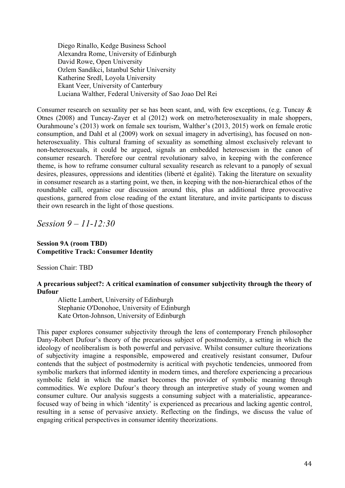Diego Rinallo, Kedge Business School Alexandra Rome, University of Edinburgh David Rowe, Open University Ozlem Sandikci, Istanbul Sehir University Katherine Sredl, Loyola University Ekant Veer, University of Canterbury Luciana Walther, Federal University of Sao Joao Del Rei

Consumer research on sexuality per se has been scant, and, with few exceptions, (e.g. Tuncay  $\&$ Otnes (2008) and Tuncay-Zayer et al (2012) work on metro/heterosexuality in male shoppers, Ourahmoune's (2013) work on female sex tourism, Walther's (2013, 2015) work on female erotic consumption, and Dahl et al (2009) work on sexual imagery in advertising), has focused on nonheterosexuality. This cultural framing of sexuality as something almost exclusively relevant to non-heterosexuals, it could be argued, signals an embedded heterosexism in the canon of consumer research. Therefore our central revolutionary salvo, in keeping with the conference theme, is how to reframe consumer cultural sexuality research as relevant to a panoply of sexual desires, pleasures, oppressions and identities (liberté et égalité). Taking the literature on sexuality in consumer research as a starting point, we then, in keeping with the non-hierarchical ethos of the roundtable call, organise our discussion around this, plus an additional three provocative questions, garnered from close reading of the extant literature, and invite participants to discuss their own research in the light of those questions.

*Session 9 – 11-12:30*

# **Session 9A (room TBD) Competitive Track: Consumer Identity**

Session Chair: TBD

# **A precarious subject?: A critical examination of consumer subjectivity through the theory of Dufour**

Aliette Lambert, University of Edinburgh Stephanie O'Donohoe, University of Edinburgh Kate Orton-Johnson, University of Edinburgh

This paper explores consumer subjectivity through the lens of contemporary French philosopher Dany-Robert Dufour's theory of the precarious subject of postmodernity, a setting in which the ideology of neoliberalism is both powerful and pervasive. Whilst consumer culture theorizations of subjectivity imagine a responsible, empowered and creatively resistant consumer, Dufour contends that the subject of postmodernity is acritical with psychotic tendencies, unmoored from symbolic markers that informed identity in modern times, and therefore experiencing a precarious symbolic field in which the market becomes the provider of symbolic meaning through commodities. We explore Dufour's theory through an interpretive study of young women and consumer culture. Our analysis suggests a consuming subject with a materialistic, appearancefocused way of being in which 'identity' is experienced as precarious and lacking agentic control, resulting in a sense of pervasive anxiety. Reflecting on the findings, we discuss the value of engaging critical perspectives in consumer identity theorizations.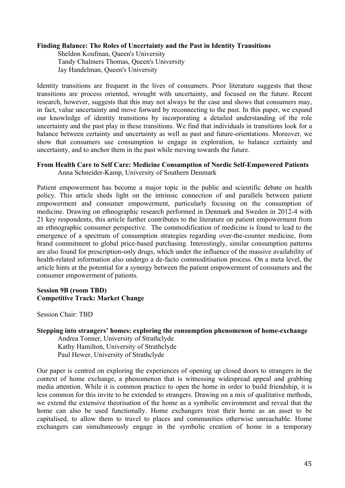# **Finding Balance: The Roles of Uncertainty and the Past in Identity Transitions**

Sheldon Koufman, Queen's University Tandy Chalmers Thomas, Queen's University Jay Handelman, Queen's University

Identity transitions are frequent in the lives of consumers. Prior literature suggests that these transitions are process oriented, wrought with uncertainty, and focused on the future. Recent research, however, suggests that this may not always be the case and shows that consumers may, in fact, value uncertainty and move forward by reconnecting to the past. In this paper, we expand our knowledge of identity transitions by incorporating a detailed understanding of the role uncertainty and the past play in these transitions. We find that individuals in transitions look for a balance between certainty and uncertainty as well as past and future-orientations. Moreover, we show that consumers use consumption to engage in exploration, to balance certainty and uncertainty, and to anchor them in the past while moving towards the future.

# **From Health Care to Self Care: Medicine Consumption of Nordic Self-Empowered Patients**

Anna Schneider-Kamp, University of Southern Denmark

Patient empowerment has become a major topic in the public and scientific debate on health policy. This article sheds light on the intrinsic connection of and parallels between patient empowerment and consumer empowerment, particularly focusing on the consumption of medicine. Drawing on ethnographic research performed in Denmark and Sweden in 2012-4 with 21 key respondents, this article further contributes to the literature on patient empowerment from an ethnographic consumer perspective. The commodification of medicine is found to lead to the emergence of a spectrum of consumption strategies regarding over-the-counter medicine, from brand commitment to global price-based purchasing. Interestingly, similar consumption patterns are also found for prescription-only drugs, which under the influence of the massive availability of health-related information also undergo a de-facto commoditisation process. On a meta level, the article hints at the potential for a synergy between the patient empowerment of consumers and the consumer empowerment of patients.

# **Session 9B (room TBD) Competitive Track: Market Change**

Session Chair: TBD

# **Stepping into strangers' homes: exploring the consumption phenomenon of home-exchange**

Andrea Tonner, University of Strathclyde Kathy Hamilton, University of Strathclyde Paul Hewer, University of Strathclyde

Our paper is centred on exploring the experiences of opening up closed doors to strangers in the context of home exchange, a phenomenon that is witnessing widespread appeal and grabbing media attention. While it is common practice to open the home in order to build friendship, it is less common for this invite to be extended to strangers. Drawing on a mix of qualitative methods, we extend the extensive theorisation of the home as a symbolic environment and reveal that the home can also be used functionally. Home exchangers treat their home as an asset to be capitalised, to allow them to travel to places and communities otherwise unreachable. Home exchangers can simultaneously engage in the symbolic creation of home in a temporary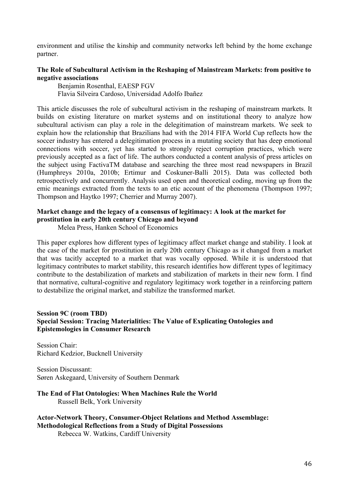environment and utilise the kinship and community networks left behind by the home exchange partner.

# **The Role of Subcultural Activism in the Reshaping of Mainstream Markets: from positive to negative associations**

Benjamin Rosenthal, EAESP FGV Flavia Silveira Cardoso, Universidad Adolfo Ibañez

This article discusses the role of subcultural activism in the reshaping of mainstream markets. It builds on existing literature on market systems and on institutional theory to analyze how subcultural activism can play a role in the delegitimation of mainstream markets. We seek to explain how the relationship that Brazilians had with the 2014 FIFA World Cup reflects how the soccer industry has entered a delegitimation process in a mutating society that has deep emotional connections with soccer, yet has started to strongly reject corruption practices, which were previously accepted as a fact of life. The authors conducted a content analysis of press articles on the subject using FactivaTM database and searching the three most read newspapers in Brazil (Humphreys 2010a, 2010b; Ertimur and Coskuner-Balli 2015). Data was collected both retrospectively and concurrently. Analysis used open and theoretical coding, moving up from the emic meanings extracted from the texts to an etic account of the phenomena (Thompson 1997; Thompson and Haytko 1997; Cherrier and Murray 2007).

# **Market change and the legacy of a consensus of legitimacy: A look at the market for prostitution in early 20th century Chicago and beyond**

Melea Press, Hanken School of Economics

This paper explores how different types of legitimacy affect market change and stability. I look at the case of the market for prostitution in early 20th century Chicago as it changed from a market that was tacitly accepted to a market that was vocally opposed. While it is understood that legitimacy contributes to market stability, this research identifies how different types of legitimacy contribute to the destabilization of markets and stabilization of markets in their new form. I find that normative, cultural-cognitive and regulatory legitimacy work together in a reinforcing pattern to destabilize the original market, and stabilize the transformed market.

# **Session 9C (room TBD) Special Session: Tracing Materialities: The Value of Explicating Ontologies and Epistemologies in Consumer Research**

Session Chair: Richard Kedzior, Bucknell University

Session Discussant: Søren Askegaard, University of Southern Denmark

**The End of Flat Ontologies: When Machines Rule the World**  Russell Belk, York University

**Actor-Network Theory, Consumer-Object Relations and Method Assemblage: Methodological Reflections from a Study of Digital Possessions** Rebecca W. Watkins, Cardiff University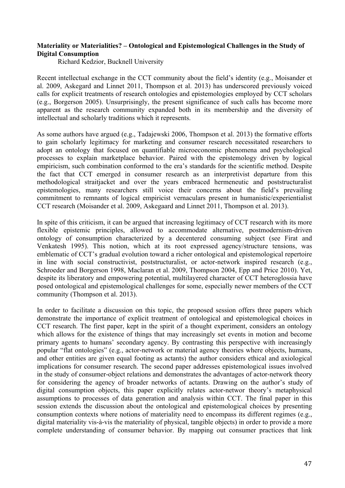# **Materiality or Materialities? – Ontological and Epistemological Challenges in the Study of Digital Consumption**

Richard Kedzior, Bucknell University

Recent intellectual exchange in the CCT community about the field's identity (e.g., Moisander et al. 2009, Askegard and Linnet 2011, Thompson et al. 2013) has underscored previously voiced calls for explicit treatments of research ontologies and epistemologies employed by CCT scholars (e.g., Borgerson 2005). Unsurprisingly, the present significance of such calls has become more apparent as the research community expanded both in its membership and the diversity of intellectual and scholarly traditions which it represents.

As some authors have argued (e.g., Tadajewski 2006, Thompson et al. 2013) the formative efforts to gain scholarly legitimacy for marketing and consumer research necessitated researchers to adopt an ontology that focused on quantifiable microeconomic phenomena and psychological processes to explain marketplace behavior. Paired with the epistemology driven by logical empiricism, such combination conformed to the era's standards for the scientific method. Despite the fact that CCT emerged in consumer research as an interpretivist departure from this methodological straitjacket and over the years embraced hermeneutic and poststructuralist epistemologies, many researchers still voice their concerns about the field's prevailing commitment to remnants of logical empiricist vernaculars present in humanistic/experientialist CCT research (Moisander et al. 2009, Askegaard and Linnet 2011, Thompson et al. 2013).

In spite of this criticism, it can be argued that increasing legitimacy of CCT research with its more flexible epistemic principles, allowed to accommodate alternative, postmodernism-driven ontology of consumption characterized by a decentered consuming subject (see Firat and Venkatesh 1995). This notion, which at its root expressed agency/structure tensions, was emblematic of CCT's gradual evolution toward a richer ontological and epistemological repertoire in line with social constructivist, poststructuralist, or actor-network inspired research (e.g., Schroeder and Borgerson 1998, Maclaran et al. 2009, Thompson 2004, Epp and Price 2010). Yet, despite its liberatory and empowering potential, multilayered character of CCT heteroglossia have posed ontological and epistemological challenges for some, especially newer members of the CCT community (Thompson et al. 2013).

In order to facilitate a discussion on this topic, the proposed session offers three papers which demonstrate the importance of explicit treatment of ontological and epistemological choices in CCT research. The first paper, kept in the spirit of a thought experiment, considers an ontology which allows for the existence of things that may increasingly set events in motion and become primary agents to humans' secondary agency. By contrasting this perspective with increasingly popular "flat ontologies" (e.g., actor-network or material agency theories where objects, humans, and other entities are given equal footing as actants) the author considers ethical and axiological implications for consumer research. The second paper addresses epistemological issues involved in the study of consumer-object relations and demonstrates the advantages of actor-network theory for considering the agency of broader networks of actants. Drawing on the author's study of digital consumption objects, this paper explicitly relates actor-networ theory's metaphysical assumptions to processes of data generation and analysis within CCT. The final paper in this session extends the discussion about the ontological and epistemological choices by presenting consumption contexts where notions of materiality need to encompass its different regimes (e.g., digital materiality vis-à-vis the materiality of physical, tangible objects) in order to provide a more complete understanding of consumer behavior. By mapping out consumer practices that link